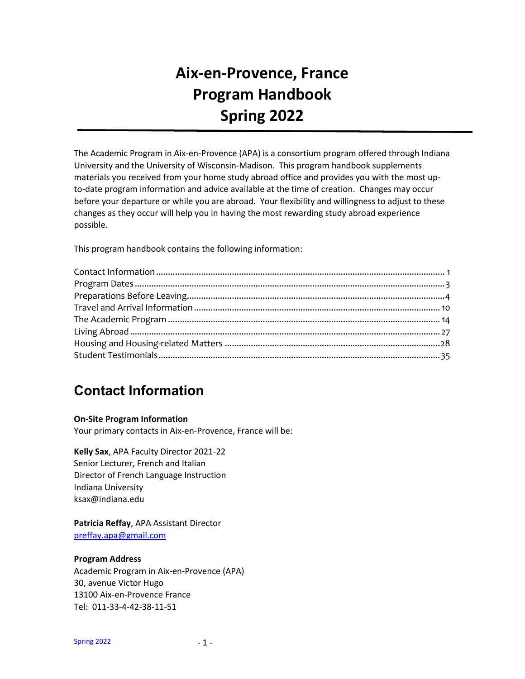# **Aix-en-Provence, France Program Handbook Spring 2022**

The Academic Program in Aix-en-Provence (APA) is a consortium program offered through Indiana University and the University of Wisconsin-Madison. This program handbook supplements materials you received from your home study abroad office and provides you with the most upto-date program information and advice available at the time of creation. Changes may occur before your departure or while you are abroad. Your flexibility and willingness to adjust to these changes as they occur will help you in having the most rewarding study abroad experience possible.

This program handbook contains the following information:

# <span id="page-0-0"></span>**Contact Information**

### **On-Site Program Information**

Your primary contacts in Aix-en-Provence, France will be:

**Kelly Sax**, APA Faculty Director 2021-22 Senior Lecturer, French and Italian Director of French Language Instruction Indiana University ksax@indiana.edu

**Patricia Reffay**, APA Assistant Director [preffay.apa@gmail.com](mailto:preffay.apa@gmail.com)

### **Program Address**

Academic Program in Aix-en-Provence (APA) 30, avenue Victor Hugo 13100 Aix-en-Provence France Tel: 011-33-4-42-38-11-51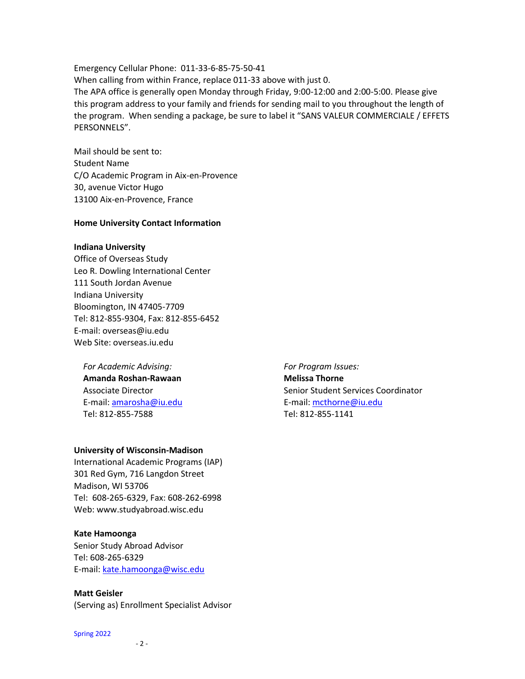Emergency Cellular Phone: 011-33-6-85-75-50-41 When calling from within France, replace 011-33 above with just 0. The APA office is generally open Monday through Friday, 9:00-12:00 and 2:00-5:00. Please give this program address to your family and friends for sending mail to you throughout the length of the program. When sending a package, be sure to label it "SANS VALEUR COMMERCIALE / EFFETS PERSONNELS".

Mail should be sent to: Student Name C/O Academic Program in Aix-en-Provence 30, avenue Victor Hugo 13100 Aix-en-Provence, France

#### **Home University Contact Information**

#### **Indiana University**

Office of Overseas Study Leo R. Dowling International Center 111 South Jordan Avenue Indiana University Bloomington, IN 47405-7709 Tel: 812-855-9304, Fax: 812-855-6452 E-mail: overseas@iu.edu Web Site: overseas.iu.edu

#### *For Academic Advising:*

**Amanda Roshan-Rawaan** Associate Director E-mail[: amarosha@iu.edu](mailto:amarosha@iu.edu) Tel: 812-855-7588

#### **University of Wisconsin-Madison**

International Academic Programs (IAP) 301 Red Gym, 716 Langdon Street Madison, WI 53706 Tel: 608-265-6329, Fax: 608-262-6998 Web: www.studyabroad.wisc.edu

#### **Kate Hamoonga**

Senior Study Abroad Advisor Tel: 608-265-6329 E-mail[: kate.hamoonga@wisc.edu](mailto:kate.hamoonga@wisc.edu)

**Matt Geisler** (Serving as) Enrollment Specialist Advisor *For Program Issues:* **Melissa Thorne** Senior Student Services Coordinator E-mail[: mcthorne@iu.edu](mailto:mcthorne@indiana.edu) Tel: 812-855-1141

#### Spring 2022

 $-2 -$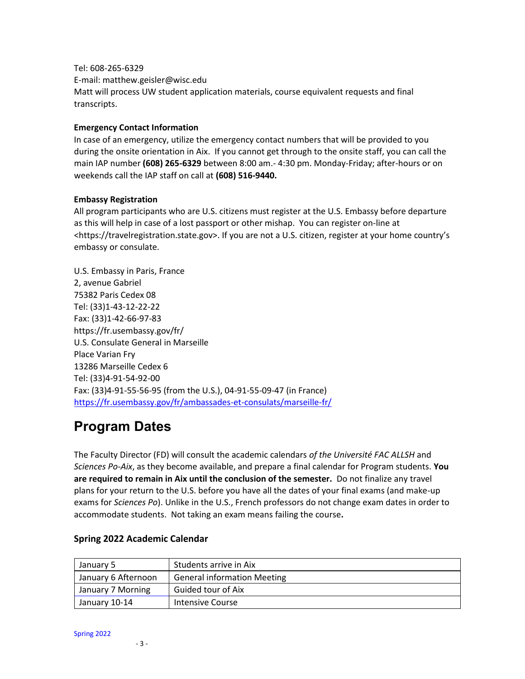Tel: 608-265-6329 E-mail: matthew.geisler@wisc.edu Matt will process UW student application materials, course equivalent requests and final transcripts.

### **Emergency Contact Information**

In case of an emergency, utilize the emergency contact numbers that will be provided to you during the onsite orientation in Aix. If you cannot get through to the onsite staff, you can call the main IAP number **(608) 265-6329** between 8:00 am.- 4:30 pm. Monday-Friday; after-hours or on weekends call the IAP staff on call at **(608) 516-9440.**

#### **Embassy Registration**

All program participants who are U.S. citizens must register at the U.S. Embassy before departure as this will help in case of a lost passport or other mishap. You can register on-line at <https://travelregistration.state.gov>. If you are not a U.S. citizen, register at your home country's embassy or consulate.

U.S. Embassy in Paris, France 2, avenue Gabriel 75382 Paris Cedex 08 Tel: (33)1-43-12-22-22 Fax: (33)1-42-66-97-83 https://fr.usembassy.gov/fr/ U.S. Consulate General in Marseille Place Varian Fry 13286 Marseille Cedex 6 Tel: (33)4-91-54-92-00 Fax: (33)4-91-55-56-95 (from the U.S.), 04-91-55-09-47 (in France) <https://fr.usembassy.gov/fr/ambassades-et-consulats/marseille-fr/>

## <span id="page-2-0"></span>**Program Dates**

The Faculty Director (FD) will consult the academic calendars *of the Université FAC ALLSH* and *Sciences Po-Aix*, as they become available, and prepare a final calendar for Program students. **You are required to remain in Aix until the conclusion of the semester.** Do not finalize any travel plans for your return to the U.S. before you have all the dates of your final exams (and make-up exams for *Sciences Po*). Unlike in the U.S., French professors do not change exam dates in order to accommodate students. Not taking an exam means failing the course**.**

| January 5           | Students arrive in Aix             |
|---------------------|------------------------------------|
| January 6 Afternoon | <b>General information Meeting</b> |
| January 7 Morning   | Guided tour of Aix                 |
| January 10-14       | Intensive Course                   |

### **Spring 2022 Academic Calendar**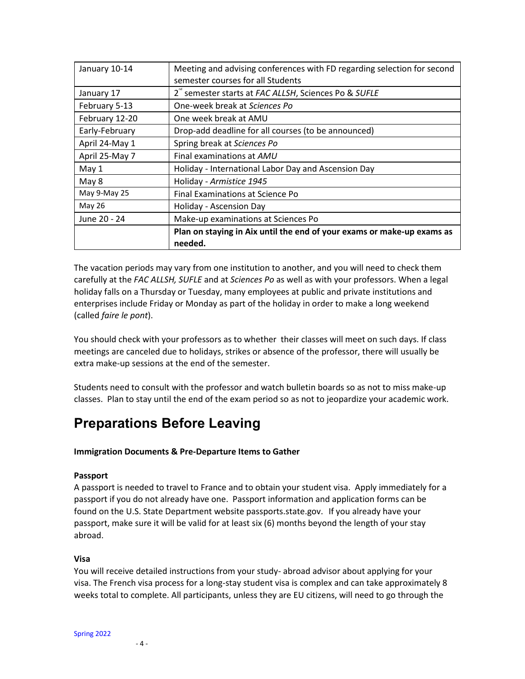| January 10-14  | Meeting and advising conferences with FD regarding selection for second |
|----------------|-------------------------------------------------------------------------|
|                | semester courses for all Students                                       |
| January 17     | 2 <sup>"</sup> semester starts at FAC ALLSH, Sciences Po & SUFLE        |
| February 5-13  | One-week break at Sciences Po                                           |
| February 12-20 | One week break at AMU                                                   |
| Early-February | Drop-add deadline for all courses (to be announced)                     |
| April 24-May 1 | Spring break at Sciences Po                                             |
| April 25-May 7 | Final examinations at AMU                                               |
| May 1          | Holiday - International Labor Day and Ascension Day                     |
| May 8          | Holiday - Armistice 1945                                                |
| May 9-May 25   | Final Examinations at Science Po                                        |
| May 26         | Holiday - Ascension Day                                                 |
| June 20 - 24   | Make-up examinations at Sciences Po                                     |
|                | Plan on staying in Aix until the end of your exams or make-up exams as  |
|                | needed.                                                                 |

The vacation periods may vary from one institution to another, and you will need to check them carefully at the *FAC ALLSH, SUFLE* and at *Sciences Po* as well as with your professors. When a legal holiday falls on a Thursday or Tuesday, many employees at public and private institutions and enterprises include Friday or Monday as part of the holiday in order to make a long weekend (called *faire le pont*).

You should check with your professors as to whether their classes will meet on such days. If class meetings are canceled due to holidays, strikes or absence of the professor, there will usually be extra make-up sessions at the end of the semester.

Students need to consult with the professor and watch bulletin boards so as not to miss make-up classes. Plan to stay until the end of the exam period so as not to jeopardize your academic work.

# <span id="page-3-0"></span>**Preparations Before Leaving**

## **Immigration Documents & Pre-Departure Items to Gather**

### **Passport**

A passport is needed to travel to France and to obtain your student visa. Apply immediately for a passport if you do not already have one. Passport information and application forms can be found on the U.S. State Department website passports.state.gov. If you already have your passport, make sure it will be valid for at least six (6) months beyond the length of your stay abroad.

### **Visa**

You will receive detailed instructions from your study- abroad advisor about applying for your visa. The French visa process for a long-stay student visa is complex and can take approximately 8 weeks total to complete. All participants, unless they are EU citizens, will need to go through the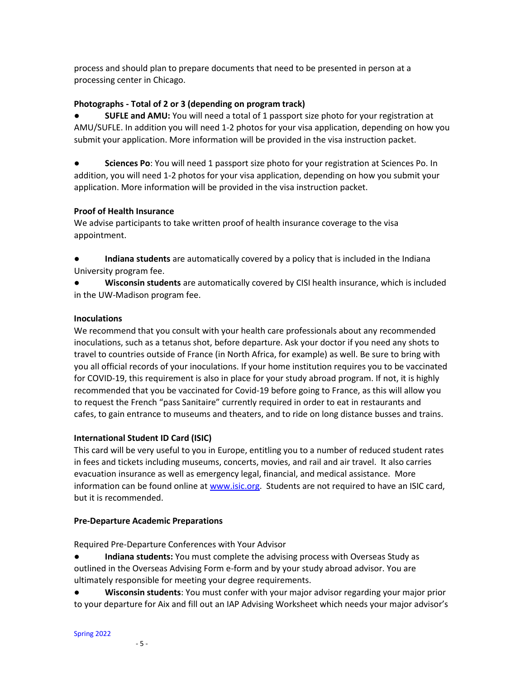process and should plan to prepare documents that need to be presented in person at a processing center in Chicago.

## **Photographs - Total of 2 or 3 (depending on program track)**

**SUFLE and AMU:** You will need a total of 1 passport size photo for your registration at AMU/SUFLE. In addition you will need 1-2 photos for your visa application, depending on how you submit your application. More information will be provided in the visa instruction packet.

**Sciences Po**: You will need 1 passport size photo for your registration at Sciences Po. In addition, you will need 1-2 photos for your visa application, depending on how you submit your application. More information will be provided in the visa instruction packet.

## **Proof of Health Insurance**

We advise participants to take written proof of health insurance coverage to the visa appointment.

● **Indiana students** are automatically covered by a policy that is included in the Indiana University program fee.

● **Wisconsin students** are automatically covered by CISI health insurance, which is included in the UW-Madison program fee.

## **Inoculations**

We recommend that you consult with your health care professionals about any recommended inoculations, such as a tetanus shot, before departure. Ask your doctor if you need any shots to travel to countries outside of France (in North Africa, for example) as well. Be sure to bring with you all official records of your inoculations. If your home institution requires you to be vaccinated for COVID-19, this requirement is also in place for your study abroad program. If not, it is highly recommended that you be vaccinated for Covid-19 before going to France, as this will allow you to request the French "pass Sanitaire" currently required in order to eat in restaurants and cafes, to gain entrance to museums and theaters, and to ride on long distance busses and trains.

## **International Student ID Card (ISIC)**

This card will be very useful to you in Europe, entitling you to a number of reduced student rates in fees and tickets including museums, concerts, movies, and rail and air travel. It also carries evacuation insurance as well as emergency legal, financial, and medical assistance. More information can be found online a[t www.isic.org.](http://www.isic.org/) Students are not required to have an ISIC card, but it is recommended.

## **Pre-Departure Academic Preparations**

Required Pre-Departure Conferences with Your Advisor

Indiana students: You must complete the advising process with Overseas Study as outlined in the Overseas Advising Form e-form and by your study abroad advisor. You are ultimately responsible for meeting your degree requirements.

**Wisconsin students**: You must confer with your major advisor regarding your major prior to your departure for Aix and fill out an IAP Advising Worksheet which needs your major advisor's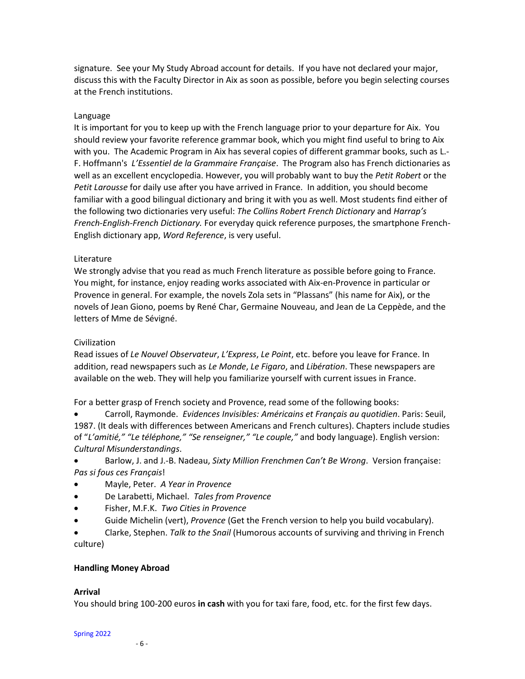signature. See your My Study Abroad account for details. If you have not declared your major, discuss this with the Faculty Director in Aix as soon as possible, before you begin selecting courses at the French institutions.

#### Language

It is important for you to keep up with the French language prior to your departure for Aix. You should review your favorite reference grammar book, which you might find useful to bring to Aix with you. The Academic Program in Aix has several copies of different grammar books, such as L.- F. Hoffmann's *L'Essentiel de la Grammaire Française*. The Program also has French dictionaries as well as an excellent encyclopedia. However, you will probably want to buy the *Petit Robert* or the *Petit Larousse* for daily use after you have arrived in France. In addition, you should become familiar with a good bilingual dictionary and bring it with you as well. Most students find either of the following two dictionaries very useful: *The Collins Robert French Dictionary* and *Harrap's French-English-French Dictionary.* For everyday quick reference purposes, the smartphone French-English dictionary app, *Word Reference*, is very useful.

#### Literature

We strongly advise that you read as much French literature as possible before going to France. You might, for instance, enjoy reading works associated with Aix-en-Provence in particular or Provence in general. For example, the novels Zola sets in "Plassans" (his name for Aix), or the novels of Jean Giono, poems by René Char, Germaine Nouveau, and Jean de La Ceppède, and the letters of Mme de Sévigné.

#### Civilization

Read issues of *Le Nouvel Observateur*, *L'Express*, *Le Point*, etc. before you leave for France. In addition, read newspapers such as *Le Monde*, *Le Figaro*, and *Libération*. These newspapers are available on the web. They will help you familiarize yourself with current issues in France.

For a better grasp of French society and Provence, read some of the following books:

• Carroll, Raymonde. *Evidences Invisibles: Américains et Français au quotidien*. Paris: Seuil, 1987. (It deals with differences between Americans and French cultures). Chapters include studies of "*L'amitié," "Le téléphone," "Se renseigner," "Le couple,"* and body language). English version: *Cultural Misunderstandings*.

• Barlow, J. and J.-B. Nadeau, *Sixty Million Frenchmen Can't Be Wrong*. Version française: *Pas si fous ces Français*!

- Mayle, Peter. *A Year in Provence*
- De Larabetti, Michael. *Tales from Provence*
- Fisher, M.F.K. *Two Cities in Provence*
- Guide Michelin (vert), *Provence* (Get the French version to help you build vocabulary).

• Clarke, Stephen. *Talk to the Snail* (Humorous accounts of surviving and thriving in French culture)

#### **Handling Money Abroad**

#### **Arrival**

You should bring 100-200 euros **in cash** with you for taxi fare, food, etc. for the first few days.

#### Spring 2022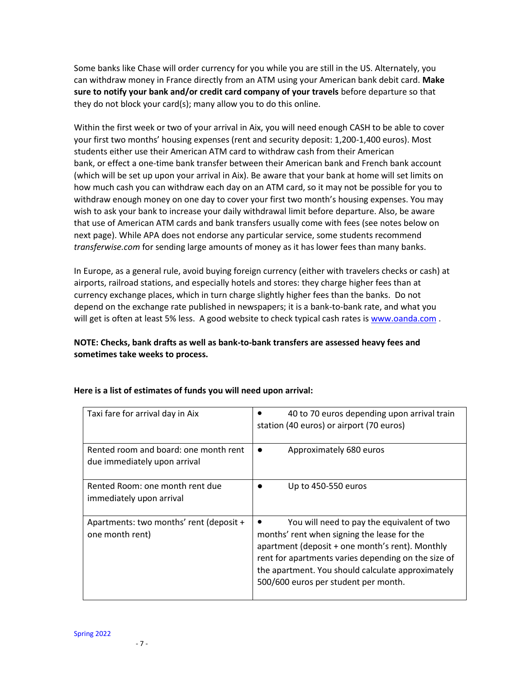Some banks like Chase will order currency for you while you are still in the US. Alternately, you can withdraw money in France directly from an ATM using your American bank debit card. **Make sure to notify your bank and/or credit card company of your travels** before departure so that they do not block your card(s); many allow you to do this online.

Within the first week or two of your arrival in Aix, you will need enough CASH to be able to cover your first two months' housing expenses (rent and security deposit: 1,200-1,400 euros). Most students either use their American ATM card to withdraw cash from their American bank, or effect a one-time bank transfer between their American bank and French bank account (which will be set up upon your arrival in Aix). Be aware that your bank at home will set limits on how much cash you can withdraw each day on an ATM card, so it may not be possible for you to withdraw enough money on one day to cover your first two month's housing expenses. You may wish to ask your bank to increase your daily withdrawal limit before departure. Also, be aware that use of American ATM cards and bank transfers usually come with fees (see notes below on next page). While APA does not endorse any particular service, some students recommend *transferwise.com* for sending large amounts of money as it has lower fees than many banks.

In Europe, as a general rule, avoid buying foreign currency (either with travelers checks or cash) at airports, railroad stations, and especially hotels and stores: they charge higher fees than at currency exchange places, which in turn charge slightly higher fees than the banks. Do not depend on the exchange rate published in newspapers; it is a bank-to-bank rate, and what you will get is often at least 5% less. A good website to check typical cash rates i[s www.oanda.com](http://www.oanda.com/).

## **NOTE: Checks, bank drafts as well as bank-to-bank transfers are assessed heavy fees and sometimes take weeks to process.**

| Taxi fare for arrival day in Aix                                      | 40 to 70 euros depending upon arrival train<br>station (40 euros) or airport (70 euros)                                                                                                                                                                                                          |
|-----------------------------------------------------------------------|--------------------------------------------------------------------------------------------------------------------------------------------------------------------------------------------------------------------------------------------------------------------------------------------------|
| Rented room and board: one month rent<br>due immediately upon arrival | Approximately 680 euros                                                                                                                                                                                                                                                                          |
| Rented Room: one month rent due<br>immediately upon arrival           | Up to 450-550 euros                                                                                                                                                                                                                                                                              |
| Apartments: two months' rent (deposit +<br>one month rent)            | You will need to pay the equivalent of two<br>months' rent when signing the lease for the<br>apartment (deposit + one month's rent). Monthly<br>rent for apartments varies depending on the size of<br>the apartment. You should calculate approximately<br>500/600 euros per student per month. |

### **Here is a list of estimates of funds you will need upon arrival:**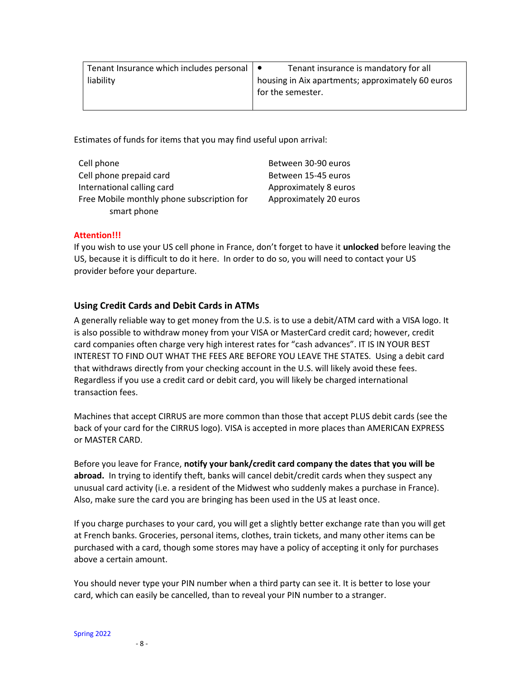| Tenant Insurance which includes personal   • | Tenant insurance is mandatory for all             |
|----------------------------------------------|---------------------------------------------------|
| liability                                    | housing in Aix apartments; approximately 60 euros |
|                                              | I for the semester.                               |
|                                              |                                                   |

Estimates of funds for items that you may find useful upon arrival:

| Cell phone                                 | Between 30-90 euros    |
|--------------------------------------------|------------------------|
| Cell phone prepaid card                    | Between 15-45 euros    |
| International calling card                 | Approximately 8 euros  |
| Free Mobile monthly phone subscription for | Approximately 20 euros |
| smart phone                                |                        |

## **Attention!!!**

If you wish to use your US cell phone in France, don't forget to have it **unlocked** before leaving the US, because it is difficult to do it here. In order to do so, you will need to contact your US provider before your departure.

## **Using Credit Cards and Debit Cards in ATMs**

A generally reliable way to get money from the U.S. is to use a debit/ATM card with a VISA logo. It is also possible to withdraw money from your VISA or MasterCard credit card; however, credit card companies often charge very high interest rates for "cash advances". IT IS IN YOUR BEST INTEREST TO FIND OUT WHAT THE FEES ARE BEFORE YOU LEAVE THE STATES. Using a debit card that withdraws directly from your checking account in the U.S. will likely avoid these fees. Regardless if you use a credit card or debit card, you will likely be charged international transaction fees.

Machines that accept CIRRUS are more common than those that accept PLUS debit cards (see the back of your card for the CIRRUS logo). VISA is accepted in more places than AMERICAN EXPRESS or MASTER CARD.

Before you leave for France, **notify your bank/credit card company the dates that you will be abroad.** In trying to identify theft, banks will cancel debit/credit cards when they suspect any unusual card activity (i.e. a resident of the Midwest who suddenly makes a purchase in France). Also, make sure the card you are bringing has been used in the US at least once.

If you charge purchases to your card, you will get a slightly better exchange rate than you will get at French banks. Groceries, personal items, clothes, train tickets, and many other items can be purchased with a card, though some stores may have a policy of accepting it only for purchases above a certain amount.

You should never type your PIN number when a third party can see it. It is better to lose your card, which can easily be cancelled, than to reveal your PIN number to a stranger.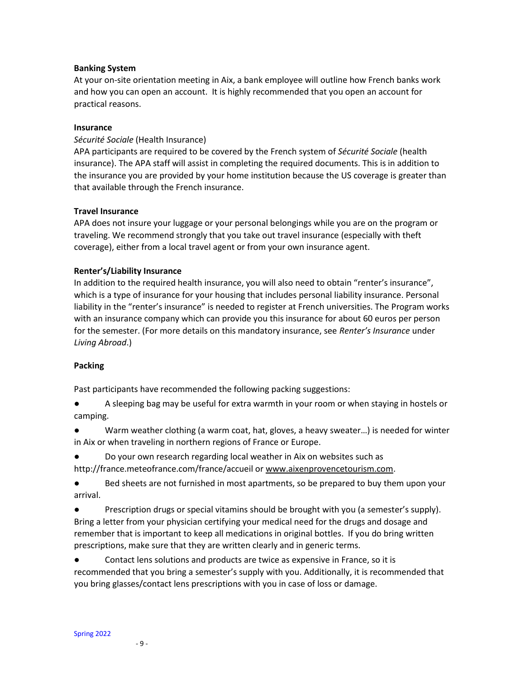### **Banking System**

At your on-site orientation meeting in Aix, a bank employee will outline how French banks work and how you can open an account. It is highly recommended that you open an account for practical reasons.

#### **Insurance**

#### *Sécurité Sociale* (Health Insurance)

APA participants are required to be covered by the French system of *Sécurité Sociale* (health insurance). The APA staff will assist in completing the required documents. This is in addition to the insurance you are provided by your home institution because the US coverage is greater than that available through the French insurance.

#### **Travel Insurance**

APA does not insure your luggage or your personal belongings while you are on the program or traveling. We recommend strongly that you take out travel insurance (especially with theft coverage), either from a local travel agent or from your own insurance agent.

#### **Renter's/Liability Insurance**

In addition to the required health insurance, you will also need to obtain "renter's insurance", which is a type of insurance for your housing that includes personal liability insurance. Personal liability in the "renter's insurance" is needed to register at French universities. The Program works with an insurance company which can provide you this insurance for about 60 euros per person for the semester. (For more details on this mandatory insurance, see *Renter's Insurance* under *Living Abroad*.)

#### **Packing**

Past participants have recommended the following packing suggestions:

A sleeping bag may be useful for extra warmth in your room or when staying in hostels or camping.

Warm weather clothing (a warm coat, hat, gloves, a heavy sweater...) is needed for winter in Aix or when traveling in northern regions of France or Europe.

Do your own research regarding local weather in Aix on websites such as

http://france.meteofrance.com/france/accueil or [www.aixenprovencetourism.com.](http://www.aixenprovencetourism.com/)

Bed sheets are not furnished in most apartments, so be prepared to buy them upon your arrival.

Prescription drugs or special vitamins should be brought with you (a semester's supply). Bring a letter from your physician certifying your medical need for the drugs and dosage and remember that is important to keep all medications in original bottles. If you do bring written prescriptions, make sure that they are written clearly and in generic terms.

Contact lens solutions and products are twice as expensive in France, so it is recommended that you bring a semester's supply with you. Additionally, it is recommended that you bring glasses/contact lens prescriptions with you in case of loss or damage.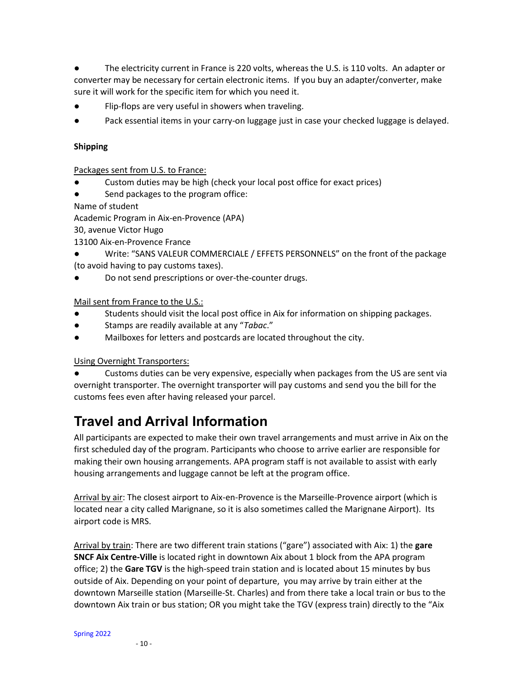The electricity current in France is 220 volts, whereas the U.S. is 110 volts. An adapter or converter may be necessary for certain electronic items. If you buy an adapter/converter, make sure it will work for the specific item for which you need it.

- Flip-flops are very useful in showers when traveling.
- Pack essential items in your carry-on luggage just in case your checked luggage is delayed.

## **Shipping**

Packages sent from U.S. to France:

- Custom duties may be high (check your local post office for exact prices)
- Send packages to the program office:

Name of student

Academic Program in Aix-en-Provence (APA)

30, avenue Victor Hugo

13100 Aix-en-Provence France

- Write: "SANS VALEUR COMMERCIALE / EFFETS PERSONNELS" on the front of the package
- (to avoid having to pay customs taxes).
- Do not send prescriptions or over-the-counter drugs.

Mail sent from France to the U.S.:

- Students should visit the local post office in Aix for information on shipping packages.
- Stamps are readily available at any "*Tabac*."
- Mailboxes for letters and postcards are located throughout the city.

Using Overnight Transporters:

Customs duties can be very expensive, especially when packages from the US are sent via overnight transporter. The overnight transporter will pay customs and send you the bill for the customs fees even after having released your parcel.

# <span id="page-9-0"></span>**Travel and Arrival Information**

All participants are expected to make their own travel arrangements and must arrive in Aix on the first scheduled day of the program. Participants who choose to arrive earlier are responsible for making their own housing arrangements. APA program staff is not available to assist with early housing arrangements and luggage cannot be left at the program office.

Arrival by air: The closest airport to Aix-en-Provence is the Marseille-Provence airport (which is located near a city called Marignane, so it is also sometimes called the Marignane Airport). Its airport code is MRS.

Arrival by train: There are two different train stations ("gare") associated with Aix: 1) the **gare SNCF Aix Centre-Ville** is located right in downtown Aix about 1 block from the APA program office; 2) the **Gare TGV** is the high-speed train station and is located about 15 minutes by bus outside of Aix. Depending on your point of departure, you may arrive by train either at the downtown Marseille station (Marseille-St. Charles) and from there take a local train or bus to the downtown Aix train or bus station; OR you might take the TGV (express train) directly to the "Aix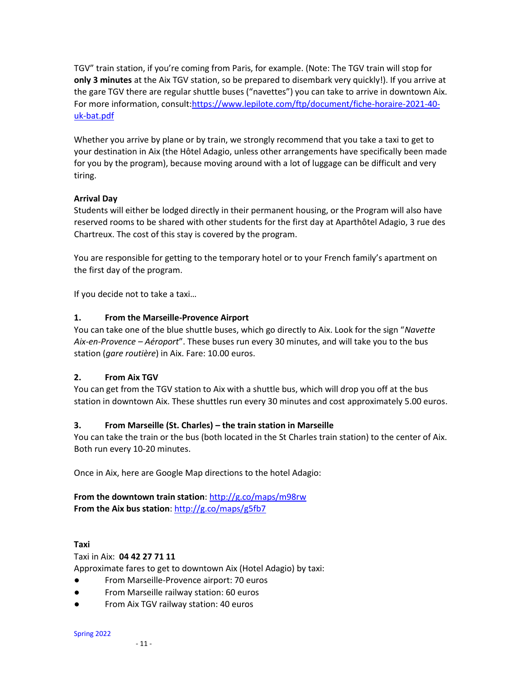TGV" train station, if you're coming from Paris, for example. (Note: The TGV train will stop for **only 3 minutes** at the Aix TGV station, so be prepared to disembark very quickly!). If you arrive at the gare TGV there are regular shuttle buses ("navettes") you can take to arrive in downtown Aix. For more information, consult[:https://www.lepilote.com/ftp/document/fiche-horaire-2021-40](https://www.lepilote.com/ftp/document/fiche-horaire-2021-40-uk-bat.pdf) [uk-bat.pdf](https://www.lepilote.com/ftp/document/fiche-horaire-2021-40-uk-bat.pdf)

Whether you arrive by plane or by train, we strongly recommend that you take a taxi to get to your destination in Aix (the Hôtel Adagio, unless other arrangements have specifically been made for you by the program), because moving around with a lot of luggage can be difficult and very tiring.

## **Arrival Day**

Students will either be lodged directly in their permanent housing, or the Program will also have reserved rooms to be shared with other students for the first day at Aparthôtel Adagio, 3 rue des Chartreux. The cost of this stay is covered by the program.

You are responsible for getting to the temporary hotel or to your French family's apartment on the first day of the program.

If you decide not to take a taxi…

## **1. From the Marseille-Provence Airport**

You can take one of the blue shuttle buses, which go directly to Aix. Look for the sign "*Navette Aix-en-Provence – Aéroport*". These buses run every 30 minutes, and will take you to the bus station (*gare routière*) in Aix. Fare: 10.00 euros.

### **2. From Aix TGV**

You can get from the TGV station to Aix with a shuttle bus, which will drop you off at the bus station in downtown Aix. These shuttles run every 30 minutes and cost approximately 5.00 euros.

## **3. From Marseille (St. Charles) – the train station in Marseille**

You can take the train or the bus (both located in the St Charles train station) to the center of Aix. Both run every 10-20 minutes.

Once in Aix, here are Google Map directions to the hotel Adagio:

**From the downtown train station**:<http://g.co/maps/m98rw> **From the Aix bus station**[: http://g.co/maps/g5fb7](http://g.co/maps/g5fb7)

### **Taxi**

Taxi in Aix: **04 42 27 71 11**

Approximate fares to get to downtown Aix (Hotel Adagio) by taxi:

- From Marseille-Provence airport: 70 euros
- From Marseille railway station: 60 euros
- From Aix TGV railway station: 40 euros

Spring 2022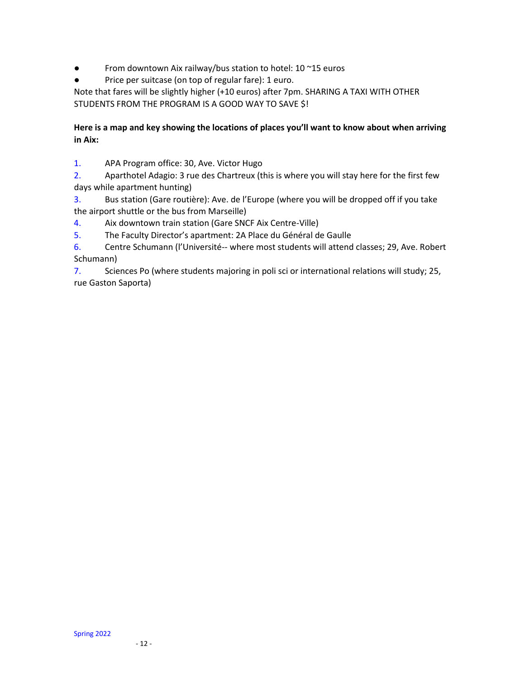- From downtown Aix railway/bus station to hotel: 10 ~15 euros
- Price per suitcase (on top of regular fare): 1 euro.

Note that fares will be slightly higher (+10 euros) after 7pm. SHARING A TAXI WITH OTHER STUDENTS FROM THE PROGRAM IS A GOOD WAY TO SAVE \$!

## **Here is a map and key showing the locations of places you'll want to know about when arriving in Aix:**

1. APA Program office: 30, Ave. Victor Hugo

2. Aparthotel Adagio: 3 rue des Chartreux (this is where you will stay here for the first few days while apartment hunting)

3. Bus station (Gare routière): Ave. de l'Europe (where you will be dropped off if you take the airport shuttle or the bus from Marseille)

- 4. Aix downtown train station (Gare SNCF Aix Centre-Ville)
- 5. The Faculty Director's apartment: 2A Place du Général de Gaulle

6. Centre Schumann (l'Université-- where most students will attend classes; 29, Ave. Robert Schumann)

7. Sciences Po (where students majoring in poli sci or international relations will study; 25, rue Gaston Saporta)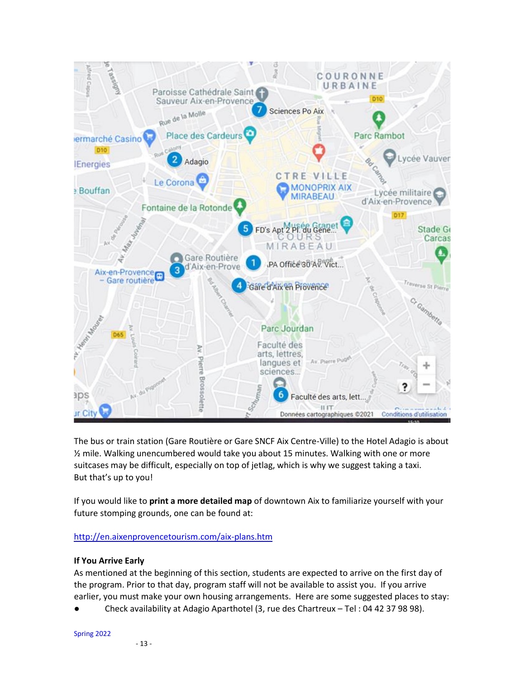

The bus or train station (Gare Routière or Gare SNCF Aix Centre-Ville) to the Hotel Adagio is about ½ mile. Walking unencumbered would take you about 15 minutes. Walking with one or more suitcases may be difficult, especially on top of jetlag, which is why we suggest taking a taxi. But that's up to you!

If you would like to **print a more detailed map** of downtown Aix to familiarize yourself with your future stomping grounds, one can be found at:

<http://en.aixenprovencetourism.com/aix-plans.htm>

## **If You Arrive Early**

As mentioned at the beginning of this section, students are expected to arrive on the first day of the program. Prior to that day, program staff will not be available to assist you. If you arrive earlier, you must make your own housing arrangements. Here are some suggested places to stay:

● Check availability at Adagio Aparthotel (3, rue des Chartreux – Tel : 04 42 37 98 98).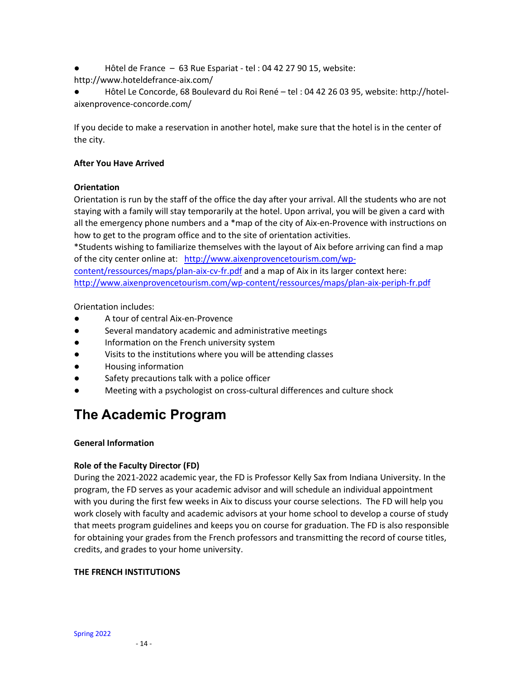- Hôtel de France 63 Rue Espariat tel : 04 42 27 90 15, website:
- http://www.hoteldefrance-aix.com/
- Hôtel Le Concorde, 68 Boulevard du Roi René tel : 04 42 26 03 95, website: http://hotelaixenprovence-concorde.com/

If you decide to make a reservation in another hotel, make sure that the hotel is in the center of the city.

## **After You Have Arrived**

## **Orientation**

Orientation is run by the staff of the office the day after your arrival. All the students who are not staying with a family will stay temporarily at the hotel. Upon arrival, you will be given a card with all the emergency phone numbers and a \*map of the city of Aix-en-Provence with instructions on how to get to the program office and to the site of orientation activities.

\*Students wishing to familiarize themselves with the layout of Aix before arriving can find a map of the city center online at: [http://www.aixenprovencetourism.com/wp-](http://www.aixenprovencetourism.com/wp-content/ressources/maps/plan-aix-cv-fr.pdf)

[content/ressources/maps/plan-aix-cv-fr.pdf](http://www.aixenprovencetourism.com/wp-content/ressources/maps/plan-aix-cv-fr.pdf) and a map of Aix in its larger context here: <http://www.aixenprovencetourism.com/wp-content/ressources/maps/plan-aix-periph-fr.pdf>

Orientation includes:

- A tour of central Aix-en-Provence
- Several mandatory academic and administrative meetings
- Information on the French university system
- Visits to the institutions where you will be attending classes
- Housing information
- Safety precautions talk with a police officer
- Meeting with a psychologist on cross-cultural differences and culture shock

# <span id="page-13-0"></span>**The Academic Program**

## **General Information**

## **Role of the Faculty Director (FD)**

During the 2021-2022 academic year, the FD is Professor Kelly Sax from Indiana University. In the program, the FD serves as your academic advisor and will schedule an individual appointment with you during the first few weeks in Aix to discuss your course selections. The FD will help you work closely with faculty and academic advisors at your home school to develop a course of study that meets program guidelines and keeps you on course for graduation. The FD is also responsible for obtaining your grades from the French professors and transmitting the record of course titles, credits, and grades to your home university.

## **THE FRENCH INSTITUTIONS**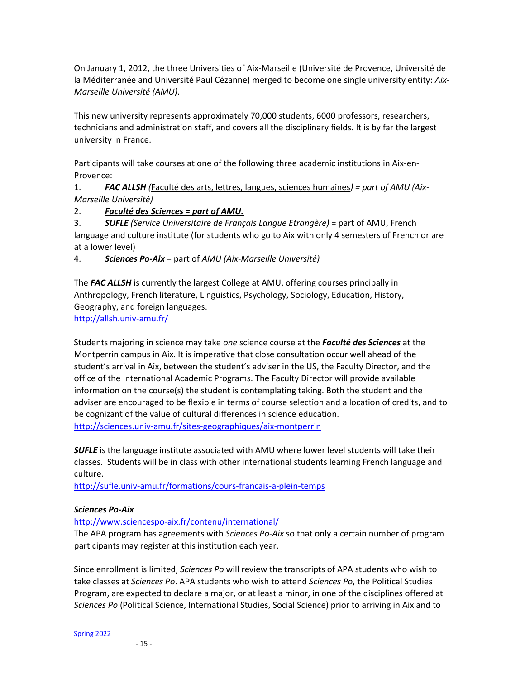On January 1, 2012, the three Universities of Aix-Marseille (Université de Provence, Université de la Méditerranée and Université Paul Cézanne) merged to become one single university entity: *Aix-Marseille Université (AMU)*.

This new university represents approximately 70,000 students, 6000 professors, researchers, technicians and administration staff, and covers all the disciplinary fields. It is by far the largest university in France.

Participants will take courses at one of the following three academic institutions in Aix-en-Provence:

1. *FAC ALLSH (*Faculté des [arts, lettres, langues, sciences humaines](http://www.univ-amu.fr/faculte-arts-lettres-langues-sciences-humaines)*) = part of AMU (Aix-Marseille Université)*

### 2. *Faculté des Sciences = part of AMU.*

3. *SUFLE (Service Universitaire de Français Langue Etrangère)* = part of AMU, French language and culture institute (for students who go to Aix with only 4 semesters of French or are at a lower level)

4. *Sciences Po-Aix* = part of *AMU (Aix-Marseille Université)*

The *FAC ALLSH* is currently the largest College at AMU, offering courses principally in Anthropology, French literature, Linguistics, Psychology, Sociology, Education, History, Geography, and foreign languages.

<http://allsh.univ-amu.fr/>

Students majoring in science may take *one* science course at the *Faculté des Sciences* at the Montperrin campus in Aix. It is imperative that close consultation occur well ahead of the student's arrival in Aix, between the student's adviser in the US, the Faculty Director, and the office of the International Academic Programs. The Faculty Director will provide available information on the course(s) the student is contemplating taking. Both the student and the adviser are encouraged to be flexible in terms of course selection and allocation of credits, and to be cognizant of the value of cultural differences in science education. <http://sciences.univ-amu.fr/sites-geographiques/aix-montperrin>

*SUFLE* is the language institute associated with AMU where lower level students will take their classes. Students will be in class with other international students learning French language and culture.

<http://sufle.univ-amu.fr/formations/cours-francais-a-plein-temps>

#### *Sciences Po-Aix*

#### <http://www.sciencespo-aix.fr/contenu/international/>

The APA program has agreements with *Sciences Po-Aix* so that only a certain number of program participants may register at this institution each year.

Since enrollment is limited, *Sciences Po* will review the transcripts of APA students who wish to take classes at *Sciences Po*. APA students who wish to attend *Sciences Po*, the Political Studies Program, are expected to declare a major, or at least a minor, in one of the disciplines offered at *Sciences Po* (Political Science, International Studies, Social Science) prior to arriving in Aix and to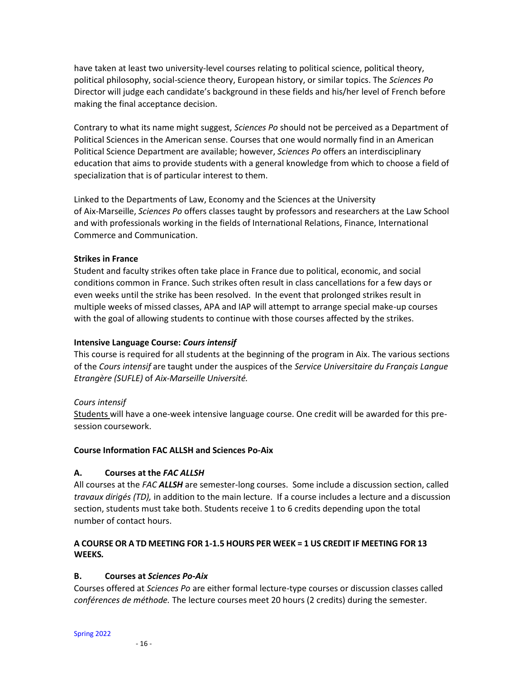have taken at least two university-level courses relating to political science, political theory, political philosophy, social-science theory, European history, or similar topics. The *Sciences Po* Director will judge each candidate's background in these fields and his/her level of French before making the final acceptance decision.

Contrary to what its name might suggest, *Sciences Po* should not be perceived as a Department of Political Sciences in the American sense. Courses that one would normally find in an American Political Science Department are available; however, *Sciences Po* offers an interdisciplinary education that aims to provide students with a general knowledge from which to choose a field of specialization that is of particular interest to them.

Linked to the Departments of Law, Economy and the Sciences at the University of Aix-Marseille, *Sciences Po* offers classes taught by professors and researchers at the Law School and with professionals working in the fields of International Relations, Finance, International Commerce and Communication.

#### **Strikes in France**

Student and faculty strikes often take place in France due to political, economic, and social conditions common in France. Such strikes often result in class cancellations for a few days or even weeks until the strike has been resolved. In the event that prolonged strikes result in multiple weeks of missed classes, APA and IAP will attempt to arrange special make-up courses with the goal of allowing students to continue with those courses affected by the strikes.

#### **Intensive Language Course:** *Cours intensif*

This course is required for all students at the beginning of the program in Aix. The various sections of the *Cours intensif* are taught under the auspices of the *Service Universitaire du Français Langue Etrangère (SUFLE)* of *Aix-Marseille Université.* 

#### *Cours intensif*

Students will have a one-week intensive language course. One credit will be awarded for this presession coursework.

#### **Course Information FAC ALLSH and Sciences Po-Aix**

#### **A. Courses at the** *FAC ALLSH*

All courses at the *FAC ALLSH* are semester-long courses. Some include a discussion section, called *travaux dirigés (TD),* in addition to the main lecture. If a course includes a lecture and a discussion section, students must take both. Students receive 1 to 6 credits depending upon the total number of contact hours.

## **A COURSE OR A TD MEETING FOR 1-1.5 HOURS PER WEEK = 1 US CREDIT IF MEETING FOR 13 WEEKS***.*

#### **B. Courses at** *Sciences Po***-***Aix*

Courses offered at *Sciences Po* are either formal lecture-type courses or discussion classes called *conférences de méthode.* The lecture courses meet 20 hours (2 credits) during the semester.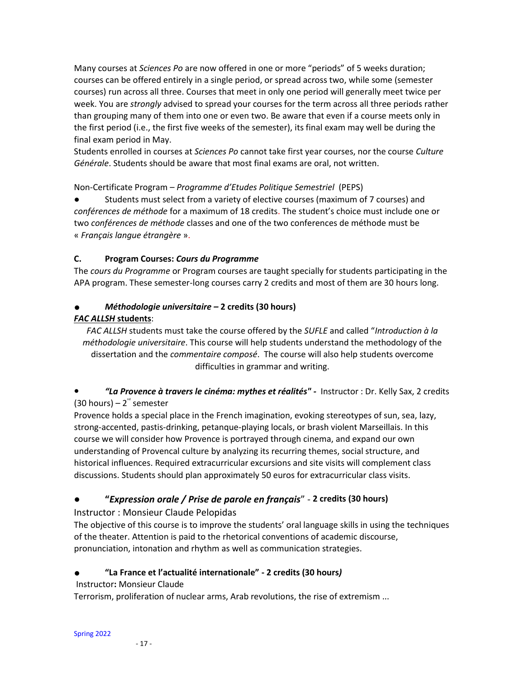Many courses at *Sciences Po* are now offered in one or more "periods" of 5 weeks duration; courses can be offered entirely in a single period, or spread across two, while some (semester courses) run across all three. Courses that meet in only one period will generally meet twice per week. You are *strongly* advised to spread your courses for the term across all three periods rather than grouping many of them into one or even two. Be aware that even if a course meets only in the first period (i.e., the first five weeks of the semester), its final exam may well be during the final exam period in May.

Students enrolled in courses at *Sciences Po* cannot take first year courses, nor the course *Culture Générale*. Students should be aware that most final exams are oral, not written.

Non-Certificate Program – *Programme d'Etudes Politique Semestriel* (PEPS)

Students must select from a variety of elective courses (maximum of 7 courses) and *conférences de méthode* for a maximum of 18 credits. The student's choice must include one or two *conférences de méthode* classes and one of the two conferences de méthode must be « *Français langue étrangère* ».

## **C. Program Courses:** *Cours du Programme*

The *cours du Programme* or Program courses are taught specially for students participating in the APA program. These semester-long courses carry 2 credits and most of them are 30 hours long.

### ● *Méthodologie universitaire –* **2 credits (30 hours)** *FAC ALLSH* **students**:

*FAC ALLSH* students must take the course offered by the *SUFLE* and called "*Introduction à la méthodologie universitaire*. This course will help students understand the methodology of the dissertation and the *commentaire composé*. The course will also help students overcome difficulties in grammar and writing.

## ● *"La Provence à travers le cinéma: mythes et réalités" -* Instructor : Dr. Kelly Sax, 2 credits  $(30$  hours) –  $2^{nd}$  semester

Provence holds a special place in the French imagination, evoking stereotypes of sun, sea, lazy, strong-accented, pastis-drinking, petanque-playing locals, or brash violent Marseillais. In this course we will consider how Provence is portrayed through cinema, and expand our own understanding of Provencal culture by analyzing its recurring themes, social structure, and historical influences. Required extracurricular excursions and site visits will complement class discussions. Students should plan approximately 50 euros for extracurricular class visits.

## ● **"***Expression orale / Prise de parole en français*" - **2 credits (30 hours)**

Instructor : Monsieur Claude Pelopidas

The objective of this course is to improve the students' oral language skills in using the techniques of the theater. Attention is paid to the rhetorical conventions of academic discourse, pronunciation, intonation and rhythm as well as communication strategies.

## ● **"La France et l'actualité internationale" - 2 credits (30 hours***)*

## Instructor**:** Monsieur Claude

Terrorism, proliferation of nuclear arms, Arab revolutions, the rise of extremism ...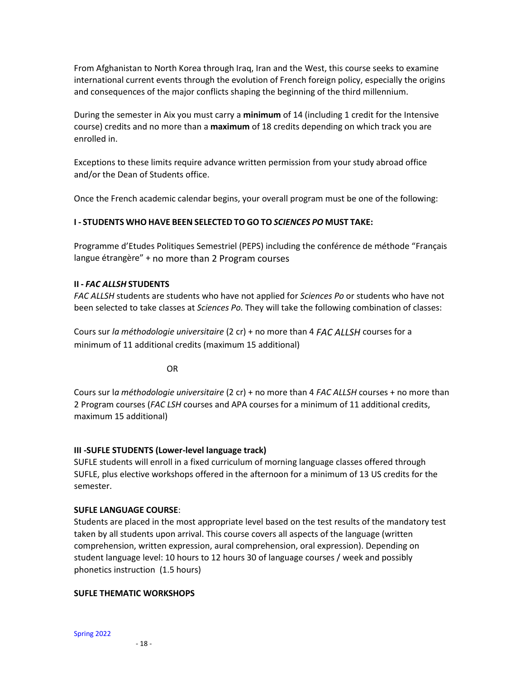From Afghanistan to North Korea through Iraq, Iran and the West, this course seeks to examine international current events through the evolution of French foreign policy, especially the origins and consequences of the major conflicts shaping the beginning of the third millennium.

During the semester in Aix you must carry a **minimum** of 14 (including 1 credit for the Intensive course) credits and no more than a **maximum** of 18 credits depending on which track you are enrolled in.

Exceptions to these limits require advance written permission from your study abroad office and/or the Dean of Students office.

Once the French academic calendar begins, your overall program must be one of the following:

### **I - STUDENTS WHO HAVE BEEN SELECTED TO GO TO** *SCIENCES PO* **MUST TAKE:**

Programme d'Etudes Politiques Semestriel (PEPS) including the conférence de méthode "Français langue étrangère" + no more than 2 Program courses

#### **II -** *FAC ALLSH* **STUDENTS**

*FAC ALLSH* students are students who have not applied for *Sciences Po* or students who have not been selected to take classes at *Sciences Po.* They will take the following combination of classes:

Cours sur *la méthodologie universitaire* (2 cr) + no more than 4 *FAC ALLSH* courses for a minimum of 11 additional credits (maximum 15 additional)

OR

Cours sur l*a méthodologie universitaire* (2 cr) + no more than 4 *FAC ALLSH* courses + no more than 2 Program courses (*FAC LSH* courses and APA courses for a minimum of 11 additional credits, maximum 15 additional)

#### **III -SUFLE STUDENTS (Lower-level language track)**

SUFLE students will enroll in a fixed curriculum of morning language classes offered through SUFLE, plus elective workshops offered in the afternoon for a minimum of 13 US credits for the semester.

#### **SUFLE LANGUAGE COURSE**:

Students are placed in the most appropriate level based on the test results of the mandatory test taken by all students upon arrival. This course covers all aspects of the language (written comprehension, written expression, aural comprehension, oral expression). Depending on student language level: 10 hours to 12 hours 30 of language courses / week and possibly phonetics instruction (1.5 hours)

#### **SUFLE THEMATIC WORKSHOPS**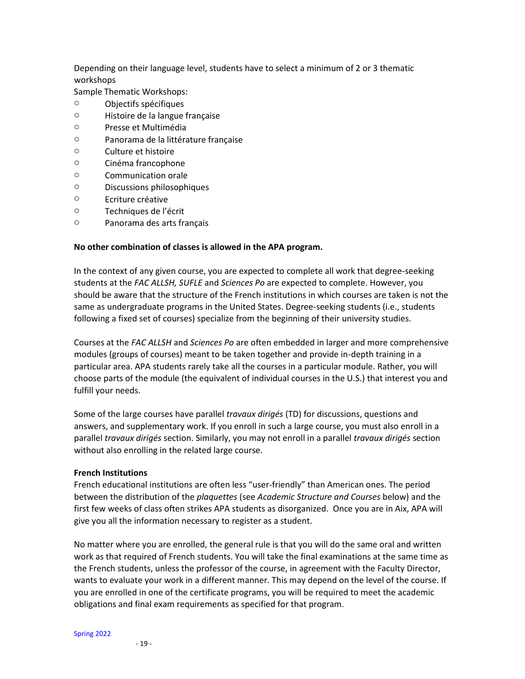Depending on their language level, students have to select a minimum of 2 or 3 thematic workshops

Sample Thematic Workshops:

- o Objectifs spécifiques
- o Histoire de la langue française
- o Presse et Multimédia
- o Panorama de la littérature française
- o Culture et histoire
- o Cinéma francophone
- o Communication orale
- o Discussions philosophiques
- o Ecriture créative
- o Techniques de l'écrit
- o Panorama des arts français

#### **No other combination of classes is allowed in the APA program.**

In the context of any given course, you are expected to complete all work that degree-seeking students at the *FAC ALLSH, SUFLE* and *Sciences Po* are expected to complete. However, you should be aware that the structure of the French institutions in which courses are taken is not the same as undergraduate programs in the United States. Degree-seeking students (i.e., students following a fixed set of courses) specialize from the beginning of their university studies.

Courses at the *FAC ALLSH* and *Sciences Po* are often embedded in larger and more comprehensive modules (groups of courses) meant to be taken together and provide in-depth training in a particular area. APA students rarely take all the courses in a particular module. Rather, you will choose parts of the module (the equivalent of individual courses in the U.S.) that interest you and fulfill your needs.

Some of the large courses have parallel *travaux dirigés* (TD) for discussions, questions and answers, and supplementary work. If you enroll in such a large course, you must also enroll in a parallel *travaux dirigés* section. Similarly, you may not enroll in a parallel *travaux dirigés* section without also enrolling in the related large course.

#### **French Institutions**

French educational institutions are often less "user-friendly" than American ones. The period between the distribution of the *plaquettes* (see *Academic Structure and Courses* below) and the first few weeks of class often strikes APA students as disorganized. Once you are in Aix, APA will give you all the information necessary to register as a student.

No matter where you are enrolled, the general rule is that you will do the same oral and written work as that required of French students. You will take the final examinations at the same time as the French students, unless the professor of the course, in agreement with the Faculty Director, wants to evaluate your work in a different manner. This may depend on the level of the course. If you are enrolled in one of the certificate programs, you will be required to meet the academic obligations and final exam requirements as specified for that program.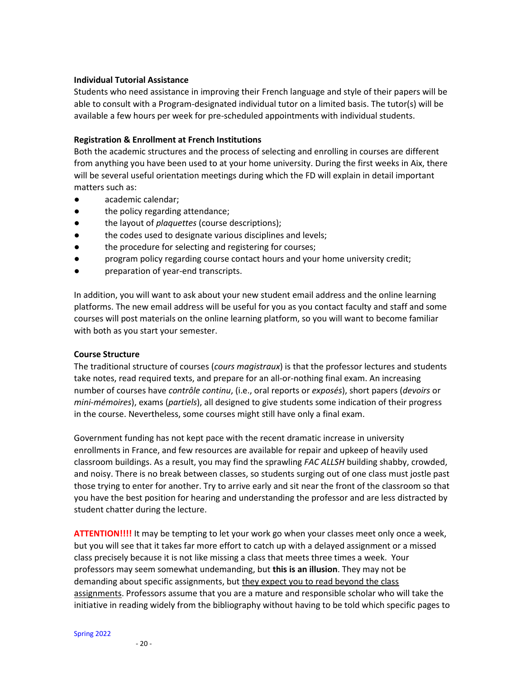#### **Individual Tutorial Assistance**

Students who need assistance in improving their French language and style of their papers will be able to consult with a Program-designated individual tutor on a limited basis. The tutor(s) will be available a few hours per week for pre-scheduled appointments with individual students.

#### **Registration & Enrollment at French Institutions**

Both the academic structures and the process of selecting and enrolling in courses are different from anything you have been used to at your home university. During the first weeks in Aix, there will be several useful orientation meetings during which the FD will explain in detail important matters such as:

- academic calendar;
- the policy regarding attendance;
- the layout of *plaquettes* (course descriptions);
- the codes used to designate various disciplines and levels;
- the procedure for selecting and registering for courses;
- program policy regarding course contact hours and your home university credit;
- preparation of year-end transcripts.

In addition, you will want to ask about your new student email address and the online learning platforms. The new email address will be useful for you as you contact faculty and staff and some courses will post materials on the online learning platform, so you will want to become familiar with both as you start your semester.

#### **Course Structure**

The traditional structure of courses (*cours magistraux*) is that the professor lectures and students take notes, read required texts, and prepare for an all-or-nothing final exam. An increasing number of courses have *contrôle continu*, (i.e., oral reports or *exposés*), short papers (*devoirs* or *mini-mémoires*), exams (*partiels*), all designed to give students some indication of their progress in the course. Nevertheless, some courses might still have only a final exam.

Government funding has not kept pace with the recent dramatic increase in university enrollments in France, and few resources are available for repair and upkeep of heavily used classroom buildings. As a result, you may find the sprawling *FAC ALLSH* building shabby, crowded, and noisy. There is no break between classes, so students surging out of one class must jostle past those trying to enter for another. Try to arrive early and sit near the front of the classroom so that you have the best position for hearing and understanding the professor and are less distracted by student chatter during the lecture.

ATTENTION!!!! It may be tempting to let your work go when your classes meet only once a week, but you will see that it takes far more effort to catch up with a delayed assignment or a missed class precisely because it is not like missing a class that meets three times a week. Your professors may seem somewhat undemanding, but **this is an illusion**. They may not be demanding about specific assignments, but they expect you to read beyond the class assignments. Professors assume that you are a mature and responsible scholar who will take the initiative in reading widely from the bibliography without having to be told which specific pages to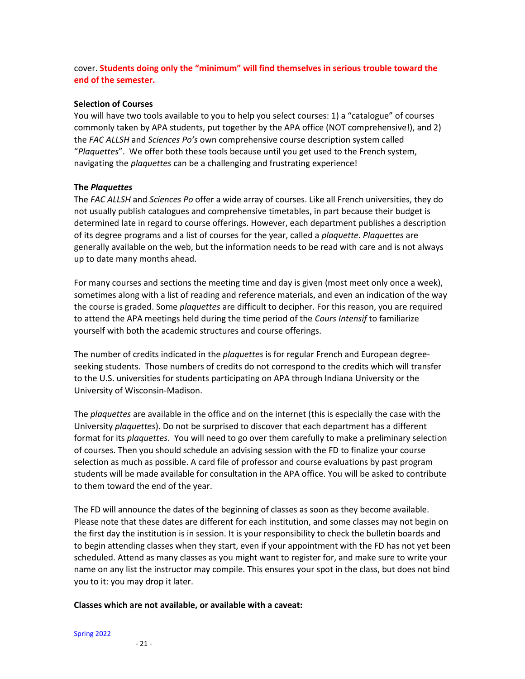cover. **Students doing only the "minimum" will find themselves in serious trouble toward the end of the semester.**

#### **Selection of Courses**

You will have two tools available to you to help you select courses: 1) a "catalogue" of courses commonly taken by APA students, put together by the APA office (NOT comprehensive!), and 2) the *FAC ALLSH* and *Sciences Po's* own comprehensive course description system called "*Plaquettes*". We offer both these tools because until you get used to the French system, navigating the *plaquettes* can be a challenging and frustrating experience!

#### **The** *Plaquettes*

The *FAC ALLSH* and *Sciences Po* offer a wide array of courses. Like all French universities, they do not usually publish catalogues and comprehensive timetables, in part because their budget is determined late in regard to course offerings. However, each department publishes a description of its degree programs and a list of courses for the year, called a *plaquette*. *Plaquettes* are generally available on the web, but the information needs to be read with care and is not always up to date many months ahead.

For many courses and sections the meeting time and day is given (most meet only once a week), sometimes along with a list of reading and reference materials, and even an indication of the way the course is graded. Some *plaquettes* are difficult to decipher. For this reason, you are required to attend the APA meetings held during the time period of the *Cours Intensif* to familiarize yourself with both the academic structures and course offerings.

The number of credits indicated in the *plaquettes* is for regular French and European degreeseeking students. Those numbers of credits do not correspond to the credits which will transfer to the U.S. universities for students participating on APA through Indiana University or the University of Wisconsin-Madison.

The *plaquettes* are available in the office and on the internet (this is especially the case with the University *plaquettes*). Do not be surprised to discover that each department has a different format for its *plaquettes*. You will need to go over them carefully to make a preliminary selection of courses. Then you should schedule an advising session with the FD to finalize your course selection as much as possible. A card file of professor and course evaluations by past program students will be made available for consultation in the APA office. You will be asked to contribute to them toward the end of the year.

The FD will announce the dates of the beginning of classes as soon as they become available. Please note that these dates are different for each institution, and some classes may not begin on the first day the institution is in session. It is your responsibility to check the bulletin boards and to begin attending classes when they start, even if your appointment with the FD has not yet been scheduled. Attend as many classes as you might want to register for, and make sure to write your name on any list the instructor may compile. This ensures your spot in the class, but does not bind you to it: you may drop it later.

#### **Classes which are not available, or available with a caveat:**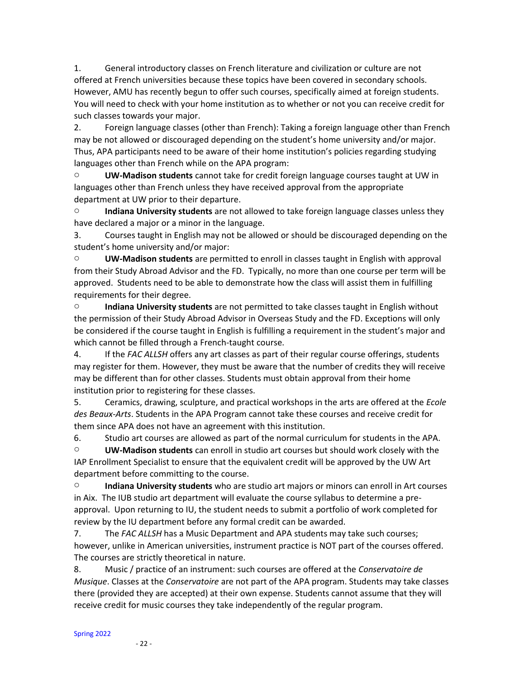1. General introductory classes on French literature and civilization or culture are not offered at French universities because these topics have been covered in secondary schools. However, AMU has recently begun to offer such courses, specifically aimed at foreign students. You will need to check with your home institution as to whether or not you can receive credit for such classes towards your major.

2. Foreign language classes (other than French): Taking a foreign language other than French may be not allowed or discouraged depending on the student's home university and/or major. Thus, APA participants need to be aware of their home institution's policies regarding studying languages other than French while on the APA program:

o **UW-Madison students** cannot take for credit foreign language courses taught at UW in languages other than French unless they have received approval from the appropriate department at UW prior to their departure.

o **Indiana University students** are not allowed to take foreign language classes unless they have declared a major or a minor in the language.

3. Courses taught in English may not be allowed or should be discouraged depending on the student's home university and/or major:

o **UW-Madison students** are permitted to enroll in classes taught in English with approval from their Study Abroad Advisor and the FD. Typically, no more than one course per term will be approved. Students need to be able to demonstrate how the class will assist them in fulfilling requirements for their degree.

o **Indiana University students** are not permitted to take classes taught in English without the permission of their Study Abroad Advisor in Overseas Study and the FD. Exceptions will only be considered if the course taught in English is fulfilling a requirement in the student's major and which cannot be filled through a French-taught course.

4. If the *FAC ALLSH* offers any art classes as part of their regular course offerings, students may register for them. However, they must be aware that the number of credits they will receive may be different than for other classes. Students must obtain approval from their home institution prior to registering for these classes.

5. Ceramics, drawing, sculpture, and practical workshops in the arts are offered at the *Ecole des Beaux-Arts*. Students in the APA Program cannot take these courses and receive credit for them since APA does not have an agreement with this institution.

6. Studio art courses are allowed as part of the normal curriculum for students in the APA.

o **UW-Madison students** can enroll in studio art courses but should work closely with the IAP Enrollment Specialist to ensure that the equivalent credit will be approved by the UW Art department before committing to the course.

o **Indiana University students** who are studio art majors or minors can enroll in Art courses in Aix. The IUB studio art department will evaluate the course syllabus to determine a preapproval. Upon returning to IU, the student needs to submit a portfolio of work completed for review by the IU department before any formal credit can be awarded.

7. The *FAC ALLSH* has a Music Department and APA students may take such courses; however, unlike in American universities, instrument practice is NOT part of the courses offered. The courses are strictly theoretical in nature.

8. Music / practice of an instrument: such courses are offered at the *Conservatoire de Musique*. Classes at the *Conservatoire* are not part of the APA program. Students may take classes there (provided they are accepted) at their own expense. Students cannot assume that they will receive credit for music courses they take independently of the regular program.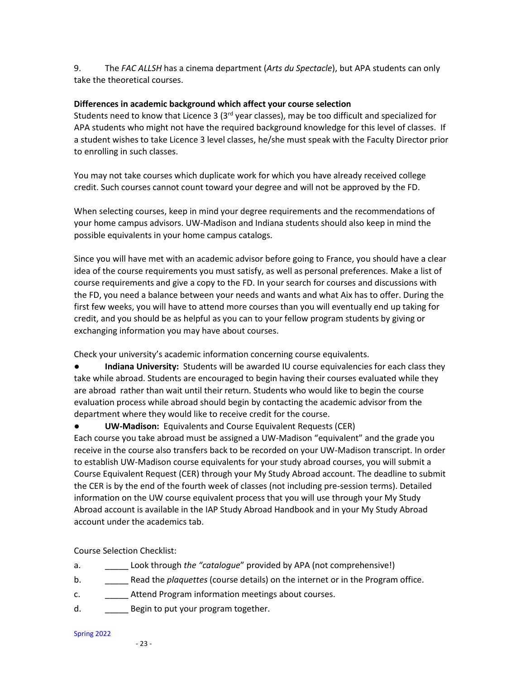9. The *FAC ALLSH* has a cinema department (*Arts du Spectacle*), but APA students can only take the theoretical courses.

## **Differences in academic background which affect your course selection**

Students need to know that Licence 3 ( $3<sup>rd</sup>$  year classes), may be too difficult and specialized for APA students who might not have the required background knowledge for this level of classes. If a student wishes to take Licence 3 level classes, he/she must speak with the Faculty Director prior to enrolling in such classes.

You may not take courses which duplicate work for which you have already received college credit. Such courses cannot count toward your degree and will not be approved by the FD.

When selecting courses, keep in mind your degree requirements and the recommendations of your home campus advisors. UW-Madison and Indiana students should also keep in mind the possible equivalents in your home campus catalogs.

Since you will have met with an academic advisor before going to France, you should have a clear idea of the course requirements you must satisfy, as well as personal preferences. Make a list of course requirements and give a copy to the FD. In your search for courses and discussions with the FD, you need a balance between your needs and wants and what Aix has to offer. During the first few weeks, you will have to attend more courses than you will eventually end up taking for credit, and you should be as helpful as you can to your fellow program students by giving or exchanging information you may have about courses.

Check your university's academic information concerning course equivalents.

**Indiana University:** Students will be awarded IU course equivalencies for each class they take while abroad. Students are encouraged to begin having their courses evaluated while they are abroad rather than wait until their return. Students who would like to begin the course evaluation process while abroad should begin by contacting the academic advisor from the department where they would like to receive credit for the course.

● **UW-Madison:** Equivalents and Course Equivalent Requests (CER)

Each course you take abroad must be assigned a UW-Madison "equivalent" and the grade you receive in the course also transfers back to be recorded on your UW-Madison transcript. In order to establish UW-Madison course equivalents for your study abroad courses, you will submit a Course Equivalent Request (CER) through your My Study Abroad account. The deadline to submit the CER is by the end of the fourth week of classes (not including pre-session terms). Detailed information on the UW course equivalent process that you will use through your My Study Abroad account is available in the IAP Study Abroad Handbook and in your My Study Abroad account under the academics tab.

Course Selection Checklist:

- a. \_\_\_\_\_ Look through *the "catalogue*" provided by APA (not comprehensive!)
- b. \_\_\_\_\_ Read the *plaquettes* (course details) on the internet or in the Program office.
- c. \_\_\_\_\_ Attend Program information meetings about courses.
- d. **EXEC BEGIN TO PUT YOUR PROTE DR** of the Begin to put your program together.

Spring 2022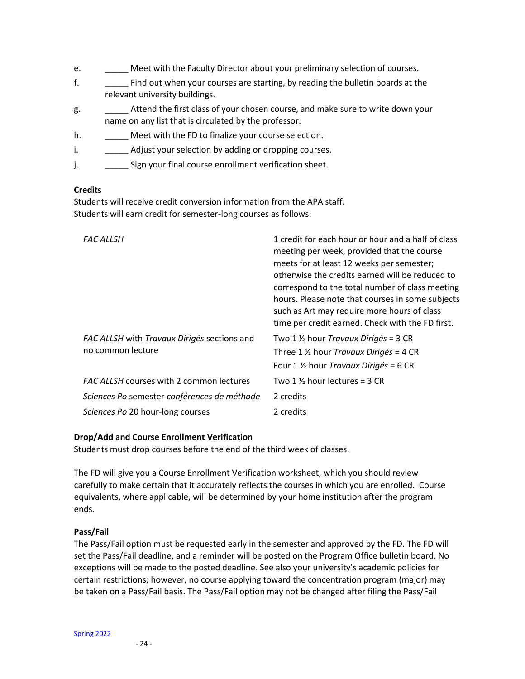- e. \_\_\_\_\_\_\_\_ Meet with the Faculty Director about your preliminary selection of courses.
- f. \_\_\_\_\_ Find out when your courses are starting, by reading the bulletin boards at the relevant university buildings.
- g. \_\_\_\_\_ Attend the first class of your chosen course, and make sure to write down your name on any list that is circulated by the professor.
- h. Meet with the FD to finalize your course selection.
- i. \_\_\_\_\_\_\_\_\_ Adjust your selection by adding or dropping courses.
- j. \_\_\_\_\_\_\_\_\_\_ Sign your final course enrollment verification sheet.

### **Credits**

Students will receive credit conversion information from the APA staff. Students will earn credit for semester-long courses as follows:

| <b>FAC ALLSH</b>                                                 | 1 credit for each hour or hour and a half of class<br>meeting per week, provided that the course<br>meets for at least 12 weeks per semester;<br>otherwise the credits earned will be reduced to<br>correspond to the total number of class meeting<br>hours. Please note that courses in some subjects<br>such as Art may require more hours of class<br>time per credit earned. Check with the FD first. |
|------------------------------------------------------------------|------------------------------------------------------------------------------------------------------------------------------------------------------------------------------------------------------------------------------------------------------------------------------------------------------------------------------------------------------------------------------------------------------------|
| FAC ALLSH with Travaux Dirigés sections and<br>no common lecture | Two 1 $\frac{1}{2}$ hour <i>Travaux Dirigés</i> = 3 CR                                                                                                                                                                                                                                                                                                                                                     |
|                                                                  | Three 1 $\frac{1}{2}$ hour <i>Travaux Dirigés</i> = 4 CR                                                                                                                                                                                                                                                                                                                                                   |
|                                                                  | Four 1 $\frac{1}{2}$ hour Travaux Dirigés = 6 CR                                                                                                                                                                                                                                                                                                                                                           |
| <i>FAC ALLSH</i> courses with 2 common lectures                  | Two 1 $\frac{1}{2}$ hour lectures = 3 CR                                                                                                                                                                                                                                                                                                                                                                   |
| Sciences Po semester conférences de méthode                      | 2 credits                                                                                                                                                                                                                                                                                                                                                                                                  |
| Sciences Po 20 hour-long courses                                 | 2 credits                                                                                                                                                                                                                                                                                                                                                                                                  |

### **Drop/Add and Course Enrollment Verification**

Students must drop courses before the end of the third week of classes.

The FD will give you a Course Enrollment Verification worksheet, which you should review carefully to make certain that it accurately reflects the courses in which you are enrolled. Course equivalents, where applicable, will be determined by your home institution after the program ends.

### **Pass/Fail**

The Pass/Fail option must be requested early in the semester and approved by the FD. The FD will set the Pass/Fail deadline, and a reminder will be posted on the Program Office bulletin board. No exceptions will be made to the posted deadline. See also your university's academic policies for certain restrictions; however, no course applying toward the concentration program (major) may be taken on a Pass/Fail basis. The Pass/Fail option may not be changed after filing the Pass/Fail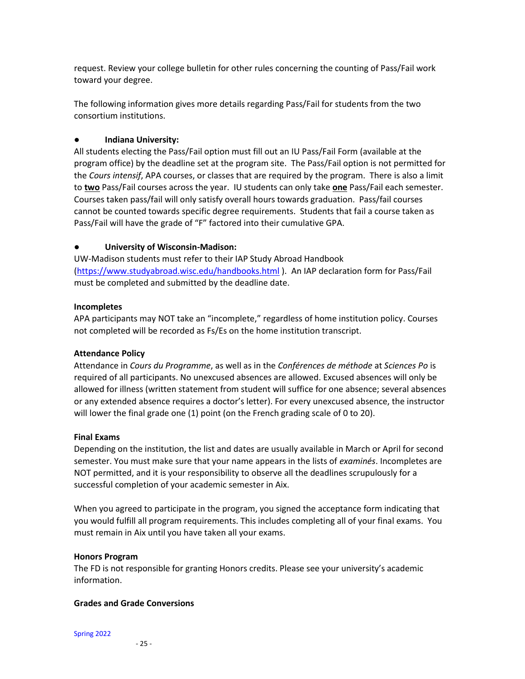request. Review your college bulletin for other rules concerning the counting of Pass/Fail work toward your degree.

The following information gives more details regarding Pass/Fail for students from the two consortium institutions.

### ● **Indiana University:**

All students electing the Pass/Fail option must fill out an IU Pass/Fail Form (available at the program office) by the deadline set at the program site. The Pass/Fail option is not permitted for the *Cours intensif*, APA courses, or classes that are required by the program. There is also a limit to **two** Pass/Fail courses across the year. IU students can only take **one** Pass/Fail each semester. Courses taken pass/fail will only satisfy overall hours towards graduation. Pass/fail courses cannot be counted towards specific degree requirements. Students that fail a course taken as Pass/Fail will have the grade of "F" factored into their cumulative GPA.

### ● **University of Wisconsin-Madison:**

UW-Madison students must refer to their IAP Study Abroad Handbook [\(https://www.studyabroad.wisc.edu/handbooks.html](https://www.studyabroad.wisc.edu/handbooks.html) ). An IAP declaration form for Pass/Fail must be completed and submitted by the deadline date.

### **Incompletes**

APA participants may NOT take an "incomplete," regardless of home institution policy. Courses not completed will be recorded as Fs/Es on the home institution transcript.

### **Attendance Policy**

Attendance in *Cours du Programme*, as well as in the *Conférences de méthode* at *Sciences Po* is required of all participants. No unexcused absences are allowed. Excused absences will only be allowed for illness (written statement from student will suffice for one absence; several absences or any extended absence requires a doctor's letter). For every unexcused absence, the instructor will lower the final grade one (1) point (on the French grading scale of 0 to 20).

### **Final Exams**

Depending on the institution, the list and dates are usually available in March or April for second semester. You must make sure that your name appears in the lists of *examinés*. Incompletes are NOT permitted, and it is your responsibility to observe all the deadlines scrupulously for a successful completion of your academic semester in Aix.

When you agreed to participate in the program, you signed the acceptance form indicating that you would fulfill all program requirements. This includes completing all of your final exams. You must remain in Aix until you have taken all your exams.

### **Honors Program**

The FD is not responsible for granting Honors credits. Please see your university's academic information.

### **Grades and Grade Conversions**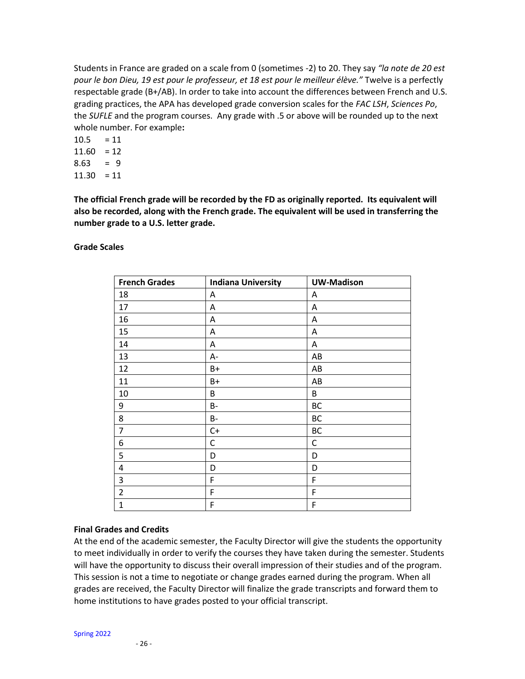Students in France are graded on a scale from 0 (sometimes -2) to 20. They say *"la note de 20 est pour le bon Dieu, 19 est pour le professeur, et 18 est pour le meilleur élève."* Twelve is a perfectly respectable grade (B+/AB). In order to take into account the differences between French and U.S. grading practices, the APA has developed grade conversion scales for the *FAC LSH*, *Sciences Po*, the *SUFLE* and the program courses. Any grade with .5 or above will be rounded up to the next whole number. For example**:**

 $10.5 = 11$  $11.60 = 12$  $8.63 = 9$  $11.30 = 11$ 

**The official French grade will be recorded by the FD as originally reported. Its equivalent will also be recorded, along with the French grade. The equivalent will be used in transferring the number grade to a U.S. letter grade.** 

**Grade Scales**

| <b>French Grades</b> | <b>Indiana University</b> | <b>UW-Madison</b> |
|----------------------|---------------------------|-------------------|
| 18                   | A                         | Α                 |
| 17                   | A                         | Α                 |
| 16                   | A                         | A                 |
| 15                   | A                         | A                 |
| 14                   | A                         | Α                 |
| 13                   | А-                        | AB                |
| 12                   | B+                        | AB                |
| 11                   | $B+$                      | AB                |
| 10                   | B                         | B                 |
| 9                    | $B -$                     | BC                |
| 8                    | $B -$                     | BC                |
| 7                    | $C+$                      | <b>BC</b>         |
| 6                    | C                         | $\mathsf C$       |
| 5                    | D                         | D                 |
| 4                    | D                         | D                 |
| 3                    | F                         | F                 |
| $\overline{2}$       | F                         | F                 |
| $\mathbf 1$          | F                         | F                 |

#### **Final Grades and Credits**

At the end of the academic semester, the Faculty Director will give the students the opportunity to meet individually in order to verify the courses they have taken during the semester. Students will have the opportunity to discuss their overall impression of their studies and of the program. This session is not a time to negotiate or change grades earned during the program. When all grades are received, the Faculty Director will finalize the grade transcripts and forward them to home institutions to have grades posted to your official transcript.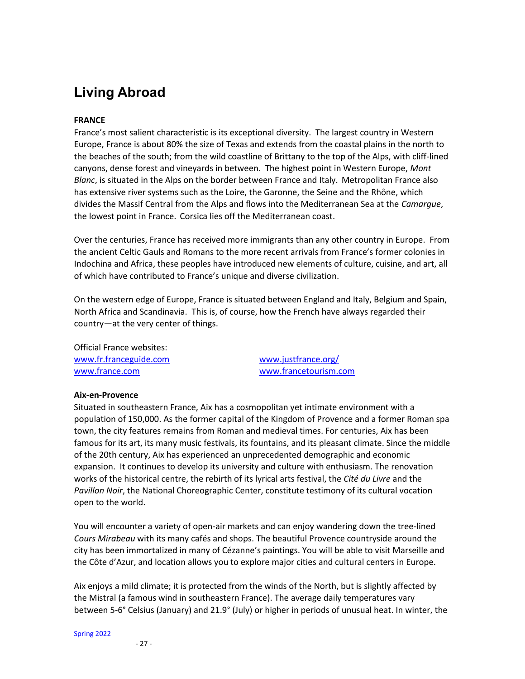# <span id="page-26-0"></span>**Living Abroad**

## **FRANCE**

France's most salient characteristic is its exceptional diversity. The largest country in Western Europe, France is about 80% the size of Texas and extends from the coastal plains in the north to the beaches of the south; from the wild coastline of Brittany to the top of the Alps, with cliff-lined canyons, dense forest and vineyards in between. The highest point in Western Europe, *Mont Blanc*, is situated in the Alps on the border between France and Italy. Metropolitan France also has extensive river systems such as the Loire, the Garonne, the Seine and the Rhône, which divides the Massif Central from the Alps and flows into the Mediterranean Sea at the *Camargue*, the lowest point in France. Corsica lies off the Mediterranean coast.

Over the centuries, France has received more immigrants than any other country in Europe. From the ancient Celtic Gauls and Romans to the more recent arrivals from France's former colonies in Indochina and Africa, these peoples have introduced new elements of culture, cuisine, and art, all of which have contributed to France's unique and diverse civilization.

On the western edge of Europe, France is situated between England and Italy, Belgium and Spain, North Africa and Scandinavia. This is, of course, how the French have always regarded their country—at the very center of things.

Official France websites: [www.fr.franceguide.com](http://www.fr.franceguide.com/) [www.justfrance.org/](http://www.justfrance.org/)

[www.france.com](http://www.france.com/) [www.francetourism.com](http://www.francetourism.com/)

### **Aix-en-Provence**

Situated in southeastern France, Aix has a cosmopolitan yet intimate environment with a population of 150,000. As the former capital of the Kingdom of Provence and a former Roman spa town, the city features remains from Roman and medieval times. For centuries, Aix has been famous for its art, its many music festivals, its fountains, and its pleasant climate. Since the middle of the 20th century, Aix has experienced an unprecedented demographic and economic expansion. It continues to develop its university and culture with enthusiasm. The renovation works of the historical centre, the rebirth of its lyrical arts festival, the *Cité du Livre* and the *Pavillon Noir*, the National Choreographic Center, constitute testimony of its cultural vocation open to the world.

You will encounter a variety of open-air markets and can enjoy wandering down the tree-lined *Cours Mirabeau* with its many cafés and shops. The beautiful Provence countryside around the city has been immortalized in many of Cézanne's paintings. You will be able to visit Marseille and the Côte d'Azur, and location allows you to explore major cities and cultural centers in Europe.

Aix enjoys a mild climate; it is protected from the winds of the North, but is slightly affected by the Mistral (a famous wind in southeastern France). The average daily temperatures vary between 5-6° Celsius (January) and 21.9° (July) or higher in periods of unusual heat. In winter, the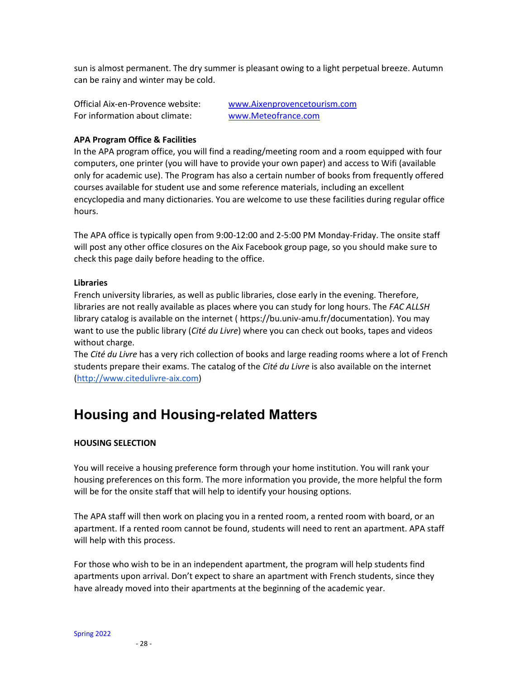sun is almost permanent. The dry summer is pleasant owing to a light perpetual breeze. Autumn can be rainy and winter may be cold.

Official Aix-en-Provence website: [www.Aixenprovencetourism.com](http://www.aixenprovencetourism.com/) For information about climate: [www.Meteofrance.com](http://www.meteofrance.com/)

#### **APA Program Office & Facilities**

In the APA program office, you will find a reading/meeting room and a room equipped with four computers, one printer (you will have to provide your own paper) and access to Wifi (available only for academic use). The Program has also a certain number of books from frequently offered courses available for student use and some reference materials, including an excellent encyclopedia and many dictionaries. You are welcome to use these facilities during regular office hours.

The APA office is typically open from 9:00-12:00 and 2-5:00 PM Monday-Friday. The onsite staff will post any other office closures on the Aix Facebook group page, so you should make sure to check this page daily before heading to the office.

#### **Libraries**

French university libraries, as well as public libraries, close early in the evening. Therefore, libraries are not really available as places where you can study for long hours. The *FAC ALLSH* library catalog is available on the internet ( https://bu.univ-amu.fr/documentation). You may want to use the public library (*Cité du Livre*) where you can check out books, tapes and videos without charge.

The *Cité du Livre* has a very rich collection of books and large reading rooms where a lot of French students prepare their exams. The catalog of the *Cité du Livre* is also available on the internet [\(http://www.citedulivre-aix.com\)](http://www.citedulivre-aix.com/)

## <span id="page-27-0"></span>**Housing and Housing-related Matters**

#### **HOUSING SELECTION**

You will receive a housing preference form through your home institution. You will rank your housing preferences on this form. The more information you provide, the more helpful the form will be for the onsite staff that will help to identify your housing options.

The APA staff will then work on placing you in a rented room, a rented room with board, or an apartment. If a rented room cannot be found, students will need to rent an apartment. APA staff will help with this process.

For those who wish to be in an independent apartment, the program will help students find apartments upon arrival. Don't expect to share an apartment with French students, since they have already moved into their apartments at the beginning of the academic year.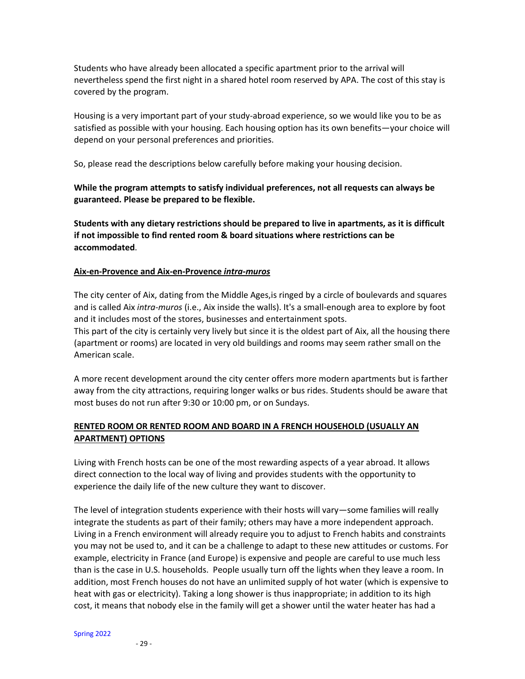Students who have already been allocated a specific apartment prior to the arrival will nevertheless spend the first night in a shared hotel room reserved by APA. The cost of this stay is covered by the program.

Housing is a very important part of your study-abroad experience, so we would like you to be as satisfied as possible with your housing. Each housing option has its own benefits—your choice will depend on your personal preferences and priorities.

So, please read the descriptions below carefully before making your housing decision.

**While the program attempts to satisfy individual preferences, not all requests can always be guaranteed. Please be prepared to be flexible.**

**Students with any dietary restrictions should be prepared to live in apartments, as it is difficult if not impossible to find rented room & board situations where restrictions can be accommodated**.

#### **Aix-en-Provence and Aix-en-Provence** *intra-muros*

The city center of Aix, dating from the Middle Ages,is ringed by a circle of boulevards and squares and is called Aix *intra-muros* (i.e., Aix inside the walls). It's a small-enough area to explore by foot and it includes most of the stores, businesses and entertainment spots.

This part of the city is certainly very lively but since it is the oldest part of Aix, all the housing there (apartment or rooms) are located in very old buildings and rooms may seem rather small on the American scale.

A more recent development around the city center offers more modern apartments but is farther away from the city attractions, requiring longer walks or bus rides. Students should be aware that most buses do not run after 9:30 or 10:00 pm, or on Sundays.

## **RENTED ROOM OR RENTED ROOM AND BOARD IN A FRENCH HOUSEHOLD (USUALLY AN APARTMENT) OPTIONS**

Living with French hosts can be one of the most rewarding aspects of a year abroad. It allows direct connection to the local way of living and provides students with the opportunity to experience the daily life of the new culture they want to discover.

The level of integration students experience with their hosts will vary—some families will really integrate the students as part of their family; others may have a more independent approach. Living in a French environment will already require you to adjust to French habits and constraints you may not be used to, and it can be a challenge to adapt to these new attitudes or customs. For example, electricity in France (and Europe) is expensive and people are careful to use much less than is the case in U.S. households. People usually turn off the lights when they leave a room. In addition, most French houses do not have an unlimited supply of hot water (which is expensive to heat with gas or electricity). Taking a long shower is thus inappropriate; in addition to its high cost, it means that nobody else in the family will get a shower until the water heater has had a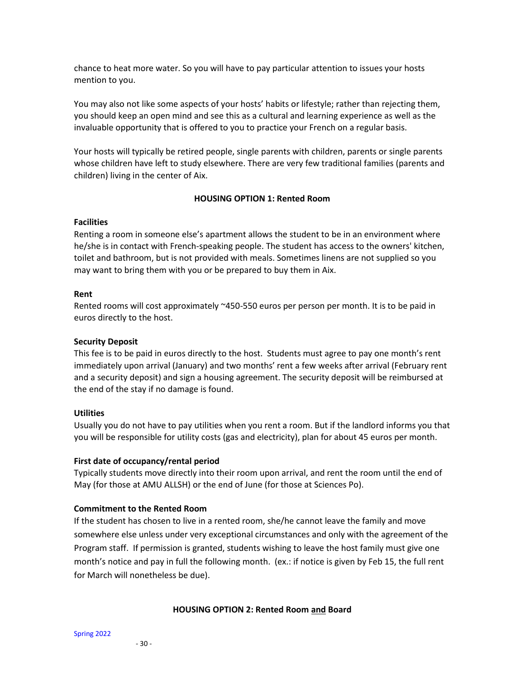chance to heat more water. So you will have to pay particular attention to issues your hosts mention to you.

You may also not like some aspects of your hosts' habits or lifestyle; rather than rejecting them, you should keep an open mind and see this as a cultural and learning experience as well as the invaluable opportunity that is offered to you to practice your French on a regular basis.

Your hosts will typically be retired people, single parents with children, parents or single parents whose children have left to study elsewhere. There are very few traditional families (parents and children) living in the center of Aix.

#### **HOUSING OPTION 1: Rented Room**

#### **Facilities**

Renting a room in someone else's apartment allows the student to be in an environment where he/she is in contact with French-speaking people. The student has access to the owners' kitchen, toilet and bathroom, but is not provided with meals. Sometimes linens are not supplied so you may want to bring them with you or be prepared to buy them in Aix.

#### **Rent**

Rented rooms will cost approximately ~450-550 euros per person per month. It is to be paid in euros directly to the host.

#### **Security Deposit**

This fee is to be paid in euros directly to the host. Students must agree to pay one month's rent immediately upon arrival (January) and two months' rent a few weeks after arrival (February rent and a security deposit) and sign a housing agreement. The security deposit will be reimbursed at the end of the stay if no damage is found.

### **Utilities**

Usually you do not have to pay utilities when you rent a room. But if the landlord informs you that you will be responsible for utility costs (gas and electricity), plan for about 45 euros per month.

#### **First date of occupancy/rental period**

Typically students move directly into their room upon arrival, and rent the room until the end of May (for those at AMU ALLSH) or the end of June (for those at Sciences Po).

### **Commitment to the Rented Room**

If the student has chosen to live in a rented room, she/he cannot leave the family and move somewhere else unless under very exceptional circumstances and only with the agreement of the Program staff. If permission is granted, students wishing to leave the host family must give one month's notice and pay in full the following month. (ex.: if notice is given by Feb 15, the full rent for March will nonetheless be due).

#### **HOUSING OPTION 2: Rented Room and Board**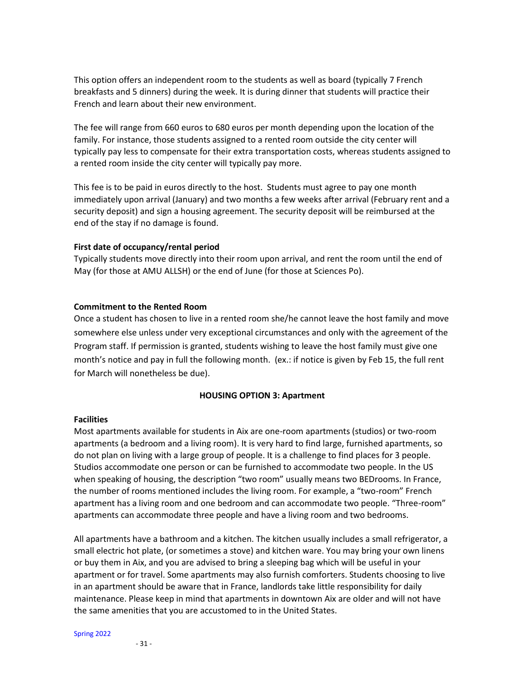This option offers an independent room to the students as well as board (typically 7 French breakfasts and 5 dinners) during the week. It is during dinner that students will practice their French and learn about their new environment.

The fee will range from 660 euros to 680 euros per month depending upon the location of the family. For instance, those students assigned to a rented room outside the city center will typically pay less to compensate for their extra transportation costs, whereas students assigned to a rented room inside the city center will typically pay more.

This fee is to be paid in euros directly to the host. Students must agree to pay one month immediately upon arrival (January) and two months a few weeks after arrival (February rent and a security deposit) and sign a housing agreement. The security deposit will be reimbursed at the end of the stay if no damage is found.

#### **First date of occupancy/rental period**

Typically students move directly into their room upon arrival, and rent the room until the end of May (for those at AMU ALLSH) or the end of June (for those at Sciences Po).

#### **Commitment to the Rented Room**

Once a student has chosen to live in a rented room she/he cannot leave the host family and move somewhere else unless under very exceptional circumstances and only with the agreement of the Program staff. If permission is granted, students wishing to leave the host family must give one month's notice and pay in full the following month. (ex.: if notice is given by Feb 15, the full rent for March will nonetheless be due).

### **HOUSING OPTION 3: Apartment**

### **Facilities**

Most apartments available for students in Aix are one-room apartments (studios) or two-room apartments (a bedroom and a living room). It is very hard to find large, furnished apartments, so do not plan on living with a large group of people. It is a challenge to find places for 3 people. Studios accommodate one person or can be furnished to accommodate two people. In the US when speaking of housing, the description "two room" usually means two BEDrooms. In France, the number of rooms mentioned includes the living room. For example, a "two-room" French apartment has a living room and one bedroom and can accommodate two people. "Three-room" apartments can accommodate three people and have a living room and two bedrooms.

All apartments have a bathroom and a kitchen. The kitchen usually includes a small refrigerator, a small electric hot plate, (or sometimes a stove) and kitchen ware. You may bring your own linens or buy them in Aix, and you are advised to bring a sleeping bag which will be useful in your apartment or for travel. Some apartments may also furnish comforters. Students choosing to live in an apartment should be aware that in France, landlords take little responsibility for daily maintenance. Please keep in mind that apartments in downtown Aix are older and will not have the same amenities that you are accustomed to in the United States.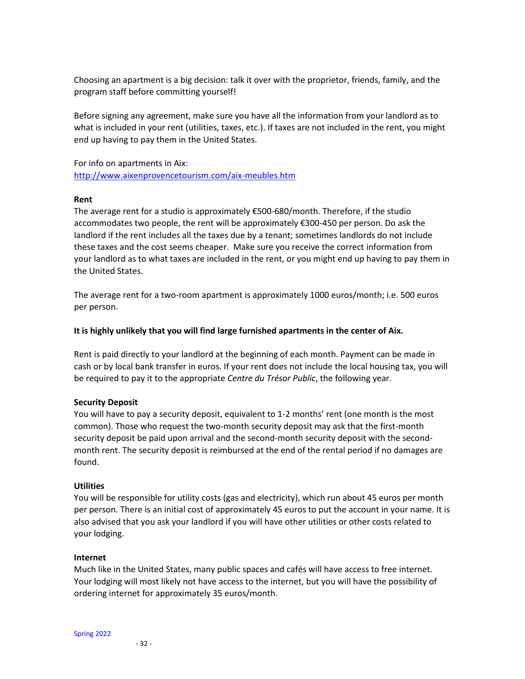Choosing an apartment is a big decision: talk it over with the proprietor, friends, family, and the program staff before committing yourself!

Before signing any agreement, make sure you have all the information from your landlord as to what is included in your rent (utilities, taxes, etc.). If taxes are not included in the rent, you might end up having to pay them in the United States.

For info on apartments in Aix:

<http://www.aixenprovencetourism.com/aix-meubles.htm>

#### **Rent**

The average rent for a studio is approximately €500-680/month. Therefore, if the studio accommodates two people, the rent will be approximately €300-450 per person. Do ask the landlord if the rent includes all the taxes due by a tenant; sometimes landlords do not include these taxes and the cost seems cheaper. Make sure you receive the correct information from your landlord as to what taxes are included in the rent, or you might end up having to pay them in the United States.

The average rent for a two-room apartment is approximately 1000 euros/month; i.e. 500 euros per person.

### **It is highly unlikely that you will find large furnished apartments in the center of Aix.**

Rent is paid directly to your landlord at the beginning of each month. Payment can be made in cash or by local bank transfer in euros. If your rent does not include the local housing tax, you will be required to pay it to the appropriate *Centre du Trésor Public*, the following year.

### **Security Deposit**

You will have to pay a security deposit, equivalent to 1-2 months' rent (one month is the most common). Those who request the two-month security deposit may ask that the first-month security deposit be paid upon arrival and the second-month security deposit with the secondmonth rent. The security deposit is reimbursed at the end of the rental period if no damages are found.

#### **Utilities**

You will be responsible for utility costs (gas and electricity), which run about 45 euros per month per person. There is an initial cost of approximately 45 euros to put the account in your name. It is also advised that you ask your landlord if you will have other utilities or other costs related to your lodging.

#### **Internet**

Much like in the United States, many public spaces and cafés will have access to free internet. Your lodging will most likely not have access to the internet, but you will have the possibility of ordering internet for approximately 35 euros/month.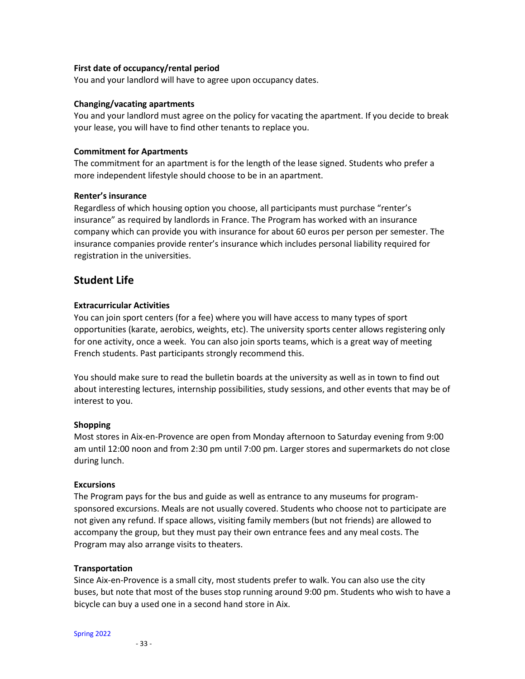#### **First date of occupancy/rental period**

You and your landlord will have to agree upon occupancy dates.

#### **Changing/vacating apartments**

You and your landlord must agree on the policy for vacating the apartment. If you decide to break your lease, you will have to find other tenants to replace you.

### **Commitment for Apartments**

The commitment for an apartment is for the length of the lease signed. Students who prefer a more independent lifestyle should choose to be in an apartment.

#### **Renter's insurance**

Regardless of which housing option you choose, all participants must purchase "renter's insurance" as required by landlords in France. The Program has worked with an insurance company which can provide you with insurance for about 60 euros per person per semester. The insurance companies provide renter's insurance which includes personal liability required for registration in the universities.

## **Student Life**

#### **Extracurricular Activities**

You can join sport centers (for a fee) where you will have access to many types of sport opportunities (karate, aerobics, weights, etc). The university sports center allows registering only for one activity, once a week. You can also join sports teams, which is a great way of meeting French students. Past participants strongly recommend this.

You should make sure to read the bulletin boards at the university as well as in town to find out about interesting lectures, internship possibilities, study sessions, and other events that may be of interest to you.

#### **Shopping**

Most stores in Aix-en-Provence are open from Monday afternoon to Saturday evening from 9:00 am until 12:00 noon and from 2:30 pm until 7:00 pm. Larger stores and supermarkets do not close during lunch.

#### **Excursions**

The Program pays for the bus and guide as well as entrance to any museums for programsponsored excursions. Meals are not usually covered. Students who choose not to participate are not given any refund. If space allows, visiting family members (but not friends) are allowed to accompany the group, but they must pay their own entrance fees and any meal costs. The Program may also arrange visits to theaters.

#### **Transportation**

Since Aix-en-Provence is a small city, most students prefer to walk. You can also use the city buses, but note that most of the buses stop running around 9:00 pm. Students who wish to have a bicycle can buy a used one in a second hand store in Aix.

#### Spring 2022

- 33 -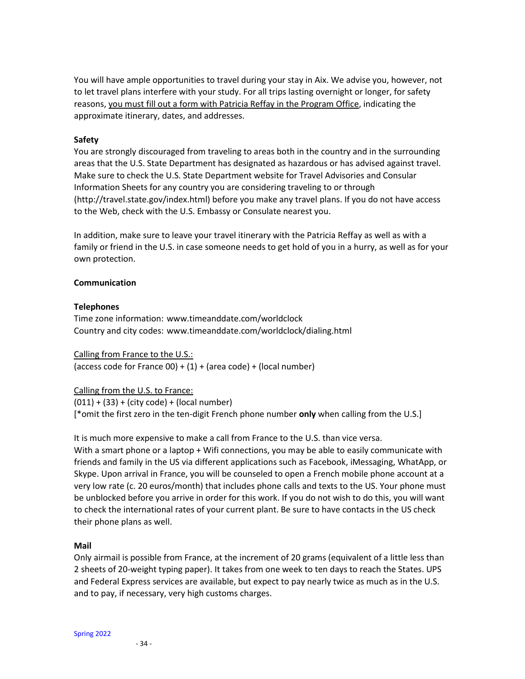You will have ample opportunities to travel during your stay in Aix. We advise you, however, not to let travel plans interfere with your study. For all trips lasting overnight or longer, for safety reasons, you must fill out a form with Patricia Reffay in the Program Office, indicating the approximate itinerary, dates, and addresses.

#### **Safety**

You are strongly discouraged from traveling to areas both in the country and in the surrounding areas that the U.S. State Department has designated as hazardous or has advised against travel. Make sure to check the U.S. State Department website for Travel Advisories and Consular Information Sheets for any country you are considering traveling to or through (http://travel.state.gov/index.html) before you make any travel plans. If you do not have access to the Web, check with the U.S. Embassy or Consulate nearest you.

In addition, make sure to leave your travel itinerary with the Patricia Reffay as well as with a family or friend in the U.S. in case someone needs to get hold of you in a hurry, as well as for your own protection.

#### **Communication**

#### **Telephones**

Time zone information: www.timeanddate.com/worldclock Country and city codes: www.timeanddate.com/worldclock/dialing.html

Calling from France to the U.S.:

(access code for France 00) +  $(1)$  + (area code) + (local number)

Calling from the U.S. to France:

 $(011) + (33) + (city code) + (local number)$ [\*omit the first zero in the ten-digit French phone number **only** when calling from the U.S.]

It is much more expensive to make a call from France to the U.S. than vice versa. With a smart phone or a laptop + Wifi connections, you may be able to easily communicate with friends and family in the US via different applications such as Facebook, iMessaging, WhatApp, or Skype. Upon arrival in France, you will be counseled to open a French mobile phone account at a very low rate (c. 20 euros/month) that includes phone calls and texts to the US. Your phone must be unblocked before you arrive in order for this work. If you do not wish to do this, you will want to check the international rates of your current plant. Be sure to have contacts in the US check their phone plans as well.

#### **Mail**

Only airmail is possible from France, at the increment of 20 grams (equivalent of a little less than 2 sheets of 20-weight typing paper). It takes from one week to ten days to reach the States. UPS and Federal Express services are available, but expect to pay nearly twice as much as in the U.S. and to pay, if necessary, very high customs charges.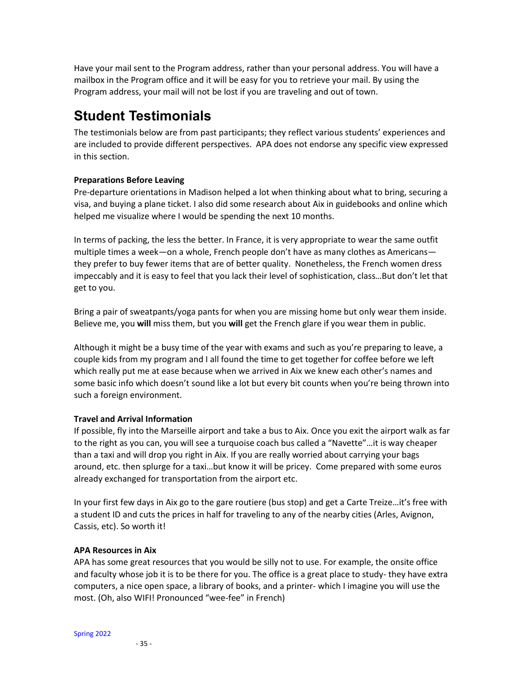Have your mail sent to the Program address, rather than your personal address. You will have a mailbox in the Program office and it will be easy for you to retrieve your mail. By using the Program address, your mail will not be lost if you are traveling and out of town.

## <span id="page-34-0"></span>**Student Testimonials**

The testimonials below are from past participants; they reflect various students' experiences and are included to provide different perspectives. APA does not endorse any specific view expressed in this section.

## **Preparations Before Leaving**

Pre-departure orientations in Madison helped a lot when thinking about what to bring, securing a visa, and buying a plane ticket. I also did some research about Aix in guidebooks and online which helped me visualize where I would be spending the next 10 months.

In terms of packing, the less the better. In France, it is very appropriate to wear the same outfit multiple times a week—on a whole, French people don't have as many clothes as Americans they prefer to buy fewer items that are of better quality. Nonetheless, the French women dress impeccably and it is easy to feel that you lack their level of sophistication, class…But don't let that get to you.

Bring a pair of sweatpants/yoga pants for when you are missing home but only wear them inside. Believe me, you **will** miss them, but you **will** get the French glare if you wear them in public.

Although it might be a busy time of the year with exams and such as you're preparing to leave, a couple kids from my program and I all found the time to get together for coffee before we left which really put me at ease because when we arrived in Aix we knew each other's names and some basic info which doesn't sound like a lot but every bit counts when you're being thrown into such a foreign environment.

## **Travel and Arrival Information**

If possible, fly into the Marseille airport and take a bus to Aix. Once you exit the airport walk as far to the right as you can, you will see a turquoise coach bus called a "Navette"…it is way cheaper than a taxi and will drop you right in Aix. If you are really worried about carrying your bags around, etc. then splurge for a taxi…but know it will be pricey. Come prepared with some euros already exchanged for transportation from the airport etc.

In your first few days in Aix go to the gare routiere (bus stop) and get a Carte Treize…it's free with a student ID and cuts the prices in half for traveling to any of the nearby cities (Arles, Avignon, Cassis, etc). So worth it!

### **APA Resources in Aix**

APA has some great resources that you would be silly not to use. For example, the onsite office and faculty whose job it is to be there for you. The office is a great place to study- they have extra computers, a nice open space, a library of books, and a printer- which I imagine you will use the most. (Oh, also WIFI! Pronounced "wee-fee" in French)